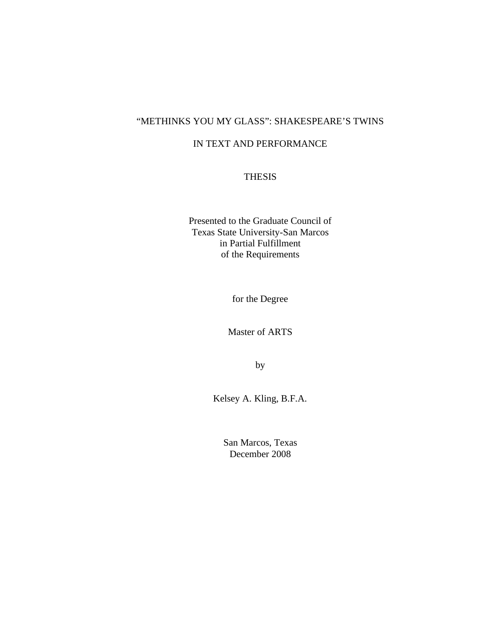## "METHINKS YOU MY GLASS": SHAKESPEARE'S TWINS

### IN TEXT AND PERFORMANCE

### THESIS

Presented to the Graduate Council of Texas State University-San Marcos in Partial Fulfillment of the Requirements

for the Degree

Master of ARTS

by

Kelsey A. Kling, B.F.A.

San Marcos, Texas December 2008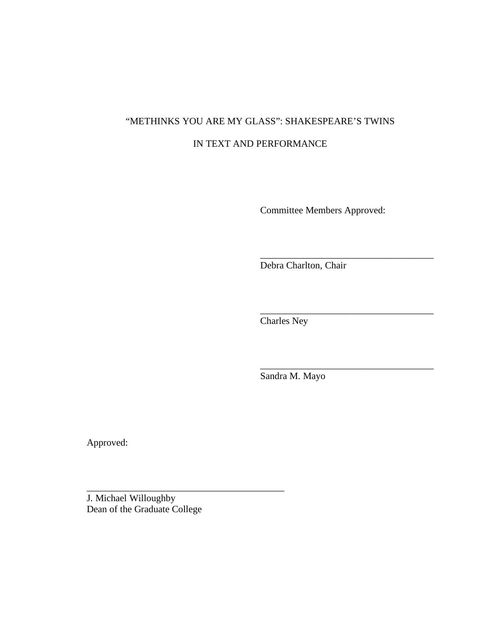# "METHINKS YOU ARE MY GLASS": SHAKESPEARE'S TWINS IN TEXT AND PERFORMANCE

Committee Members Approved:

\_\_\_\_\_\_\_\_\_\_\_\_\_\_\_\_\_\_\_\_\_\_\_\_\_\_\_\_\_\_\_\_\_\_\_\_

\_\_\_\_\_\_\_\_\_\_\_\_\_\_\_\_\_\_\_\_\_\_\_\_\_\_\_\_\_\_\_\_\_\_\_\_

\_\_\_\_\_\_\_\_\_\_\_\_\_\_\_\_\_\_\_\_\_\_\_\_\_\_\_\_\_\_\_\_\_\_\_\_

Debra Charlton, Chair

Charles Ney

Sandra M. Mayo

Approved:

J. Michael Willoughby Dean of the Graduate College

\_\_\_\_\_\_\_\_\_\_\_\_\_\_\_\_\_\_\_\_\_\_\_\_\_\_\_\_\_\_\_\_\_\_\_\_\_\_\_\_\_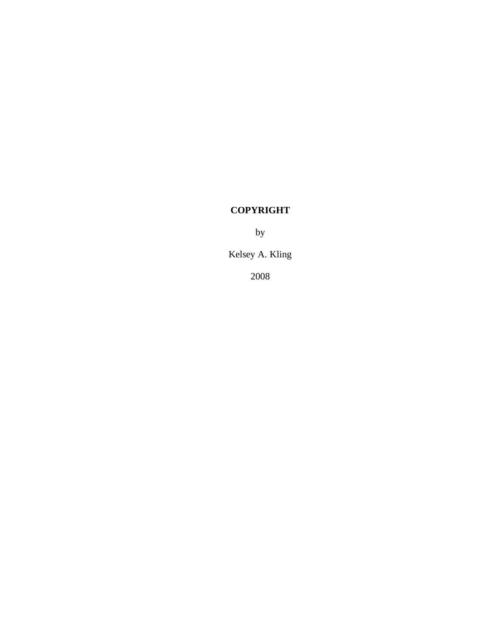# **COPYRIGHT**

by

Kelsey A. Kling

2008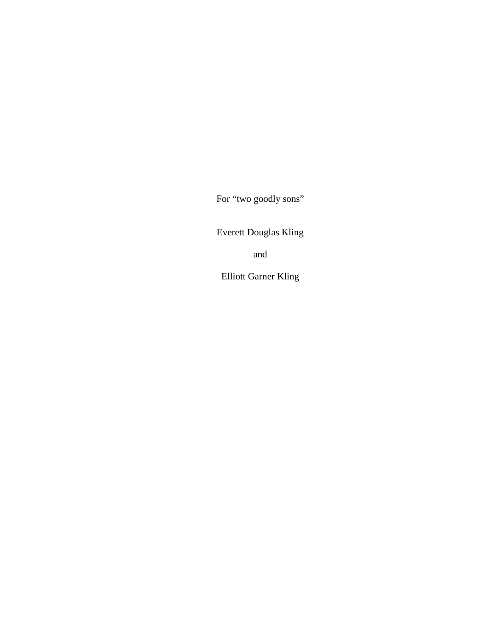For "two goodly sons"

Everett Douglas Kling

and

Elliott Garner Kling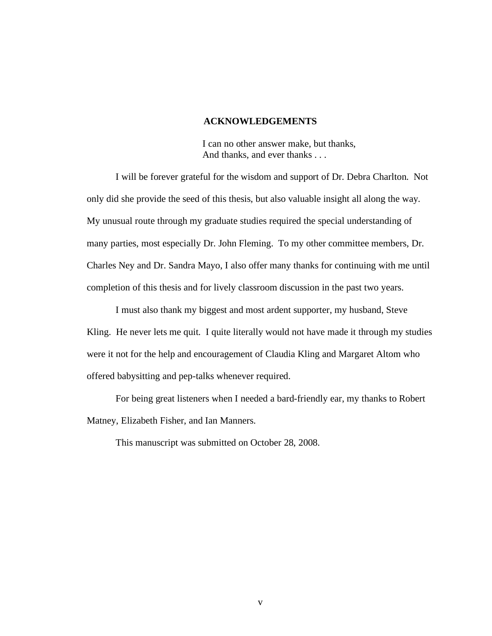#### **ACKNOWLEDGEMENTS**

I can no other answer make, but thanks, And thanks, and ever thanks . . .

I will be forever grateful for the wisdom and support of Dr. Debra Charlton. Not only did she provide the seed of this thesis, but also valuable insight all along the way. My unusual route through my graduate studies required the special understanding of many parties, most especially Dr. John Fleming. To my other committee members, Dr. Charles Ney and Dr. Sandra Mayo, I also offer many thanks for continuing with me until completion of this thesis and for lively classroom discussion in the past two years.

I must also thank my biggest and most ardent supporter, my husband, Steve Kling. He never lets me quit. I quite literally would not have made it through my studies were it not for the help and encouragement of Claudia Kling and Margaret Altom who offered babysitting and pep-talks whenever required.

For being great listeners when I needed a bard-friendly ear, my thanks to Robert Matney, Elizabeth Fisher, and Ian Manners.

This manuscript was submitted on October 28, 2008.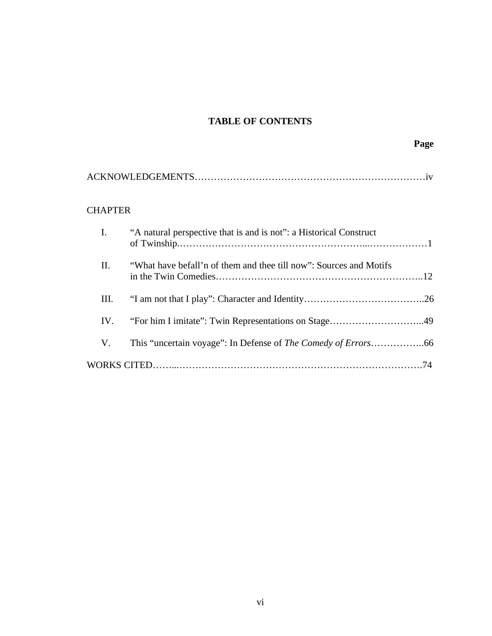# **TABLE OF CONTENTS**

|--|

# CHAPTER

| I.  | "A natural perspective that is and is not": a Historical Construct |  |
|-----|--------------------------------------------------------------------|--|
| II. | "What have befall'n of them and thee till now": Sources and Motifs |  |
| Ш.  |                                                                    |  |
| IV. |                                                                    |  |
| V.  |                                                                    |  |
|     |                                                                    |  |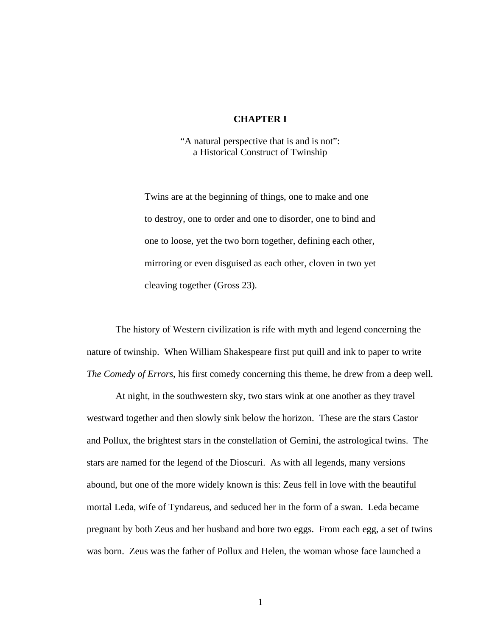### **CHAPTER I**

"A natural perspective that is and is not": a Historical Construct of Twinship

Twins are at the beginning of things, one to make and one to destroy, one to order and one to disorder, one to bind and one to loose, yet the two born together, defining each other, mirroring or even disguised as each other, cloven in two yet cleaving together (Gross 23).

The history of Western civilization is rife with myth and legend concerning the nature of twinship. When William Shakespeare first put quill and ink to paper to write *The Comedy of Errors*, his first comedy concerning this theme, he drew from a deep well.

At night, in the southwestern sky, two stars wink at one another as they travel westward together and then slowly sink below the horizon. These are the stars Castor and Pollux, the brightest stars in the constellation of Gemini, the astrological twins. The stars are named for the legend of the Dioscuri. As with all legends, many versions abound, but one of the more widely known is this: Zeus fell in love with the beautiful mortal Leda, wife of Tyndareus, and seduced her in the form of a swan. Leda became pregnant by both Zeus and her husband and bore two eggs. From each egg, a set of twins was born. Zeus was the father of Pollux and Helen, the woman whose face launched a

1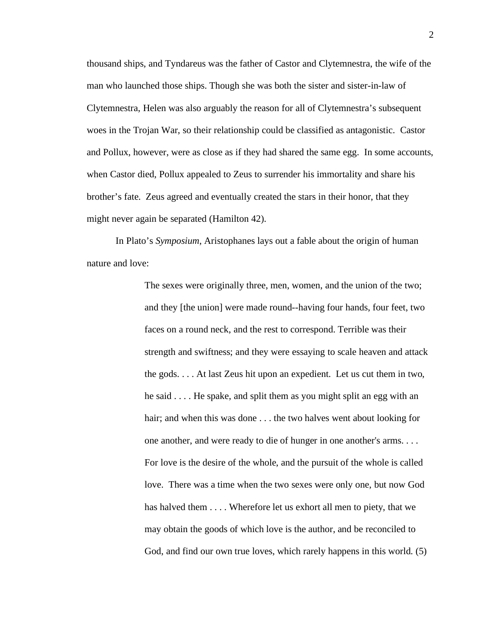thousand ships, and Tyndareus was the father of Castor and Clytemnestra, the wife of the man who launched those ships. Though she was both the sister and sister-in-law of Clytemnestra, Helen was also arguably the reason for all of Clytemnestra's subsequent woes in the Trojan War, so their relationship could be classified as antagonistic. Castor and Pollux, however, were as close as if they had shared the same egg. In some accounts, when Castor died, Pollux appealed to Zeus to surrender his immortality and share his brother's fate. Zeus agreed and eventually created the stars in their honor, that they might never again be separated (Hamilton 42).

In Plato's *Symposium*, Aristophanes lays out a fable about the origin of human nature and love:

> The sexes were originally three, men, women, and the union of the two; and they [the union] were made round--having four hands, four feet, two faces on a round neck, and the rest to correspond. Terrible was their strength and swiftness; and they were essaying to scale heaven and attack the gods. . . . At last Zeus hit upon an expedient. Let us cut them in two, he said . . . . He spake, and split them as you might split an egg with an hair; and when this was done . . . the two halves went about looking for one another, and were ready to die of hunger in one another's arms. . . . For love is the desire of the whole, and the pursuit of the whole is called love. There was a time when the two sexes were only one, but now God has halved them  $\dots$ . Wherefore let us exhort all men to piety, that we may obtain the goods of which love is the author, and be reconciled to God, and find our own true loves, which rarely happens in this world. (5)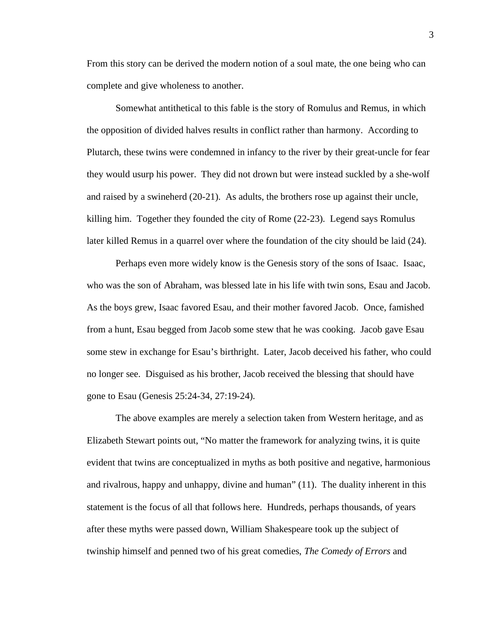From this story can be derived the modern notion of a soul mate, the one being who can complete and give wholeness to another.

Somewhat antithetical to this fable is the story of Romulus and Remus, in which the opposition of divided halves results in conflict rather than harmony. According to Plutarch, these twins were condemned in infancy to the river by their great-uncle for fear they would usurp his power. They did not drown but were instead suckled by a she-wolf and raised by a swineherd (20-21). As adults, the brothers rose up against their uncle, killing him. Together they founded the city of Rome (22-23). Legend says Romulus later killed Remus in a quarrel over where the foundation of the city should be laid (24).

Perhaps even more widely know is the Genesis story of the sons of Isaac. Isaac, who was the son of Abraham, was blessed late in his life with twin sons, Esau and Jacob. As the boys grew, Isaac favored Esau, and their mother favored Jacob. Once, famished from a hunt, Esau begged from Jacob some stew that he was cooking. Jacob gave Esau some stew in exchange for Esau's birthright. Later, Jacob deceived his father, who could no longer see. Disguised as his brother, Jacob received the blessing that should have gone to Esau (Genesis 25:24-34, 27:19-24).

The above examples are merely a selection taken from Western heritage, and as Elizabeth Stewart points out, "No matter the framework for analyzing twins, it is quite evident that twins are conceptualized in myths as both positive and negative, harmonious and rivalrous, happy and unhappy, divine and human" (11). The duality inherent in this statement is the focus of all that follows here. Hundreds, perhaps thousands, of years after these myths were passed down, William Shakespeare took up the subject of twinship himself and penned two of his great comedies, *The Comedy of Errors* and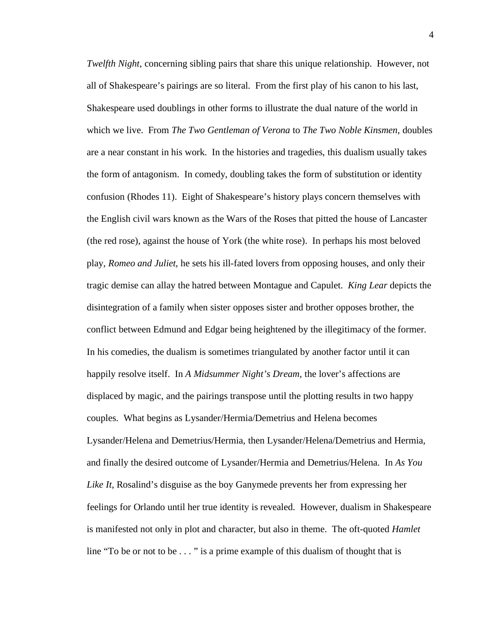*Twelfth Night*, concerning sibling pairs that share this unique relationship. However, not all of Shakespeare's pairings are so literal. From the first play of his canon to his last, Shakespeare used doublings in other forms to illustrate the dual nature of the world in which we live. From *The Two Gentleman of Verona* to *The Two Noble Kinsmen*, doubles are a near constant in his work. In the histories and tragedies, this dualism usually takes the form of antagonism. In comedy, doubling takes the form of substitution or identity confusion (Rhodes 11). Eight of Shakespeare's history plays concern themselves with the English civil wars known as the Wars of the Roses that pitted the house of Lancaster (the red rose), against the house of York (the white rose). In perhaps his most beloved play, *Romeo and Juliet*, he sets his ill-fated lovers from opposing houses, and only their tragic demise can allay the hatred between Montague and Capulet. *King Lear* depicts the disintegration of a family when sister opposes sister and brother opposes brother, the conflict between Edmund and Edgar being heightened by the illegitimacy of the former. In his comedies, the dualism is sometimes triangulated by another factor until it can happily resolve itself. In *A Midsummer Night's Dream*, the lover's affections are displaced by magic, and the pairings transpose until the plotting results in two happy couples. What begins as Lysander/Hermia/Demetrius and Helena becomes Lysander/Helena and Demetrius/Hermia, then Lysander/Helena/Demetrius and Hermia, and finally the desired outcome of Lysander/Hermia and Demetrius/Helena. In *As You Like It*, Rosalind's disguise as the boy Ganymede prevents her from expressing her feelings for Orlando until her true identity is revealed. However, dualism in Shakespeare is manifested not only in plot and character, but also in theme. The oft-quoted *Hamlet* line "To be or not to be . . . " is a prime example of this dualism of thought that is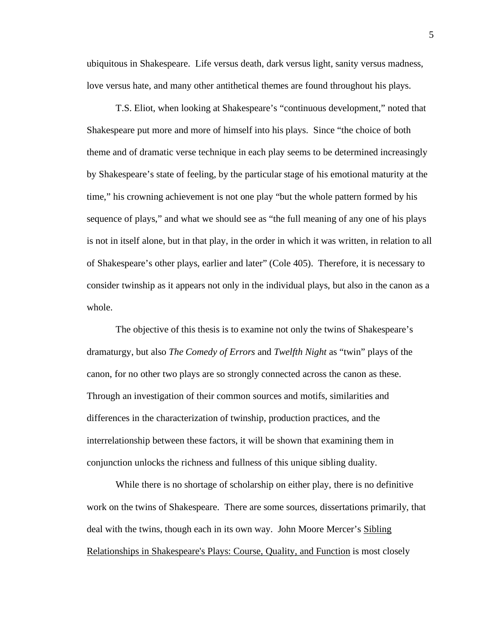ubiquitous in Shakespeare. Life versus death, dark versus light, sanity versus madness, love versus hate, and many other antithetical themes are found throughout his plays.

T.S. Eliot, when looking at Shakespeare's "continuous development," noted that Shakespeare put more and more of himself into his plays. Since "the choice of both theme and of dramatic verse technique in each play seems to be determined increasingly by Shakespeare's state of feeling, by the particular stage of his emotional maturity at the time," his crowning achievement is not one play "but the whole pattern formed by his sequence of plays," and what we should see as "the full meaning of any one of his plays is not in itself alone, but in that play, in the order in which it was written, in relation to all of Shakespeare's other plays, earlier and later" (Cole 405). Therefore, it is necessary to consider twinship as it appears not only in the individual plays, but also in the canon as a whole.

The objective of this thesis is to examine not only the twins of Shakespeare's dramaturgy, but also *The Comedy of Errors* and *Twelfth Night* as "twin" plays of the canon, for no other two plays are so strongly connected across the canon as these. Through an investigation of their common sources and motifs, similarities and differences in the characterization of twinship, production practices, and the interrelationship between these factors, it will be shown that examining them in conjunction unlocks the richness and fullness of this unique sibling duality.

While there is no shortage of scholarship on either play, there is no definitive work on the twins of Shakespeare. There are some sources, dissertations primarily, that deal with the twins, though each in its own way. John Moore Mercer's Sibling Relationships in Shakespeare's Plays: Course, Quality, and Function is most closely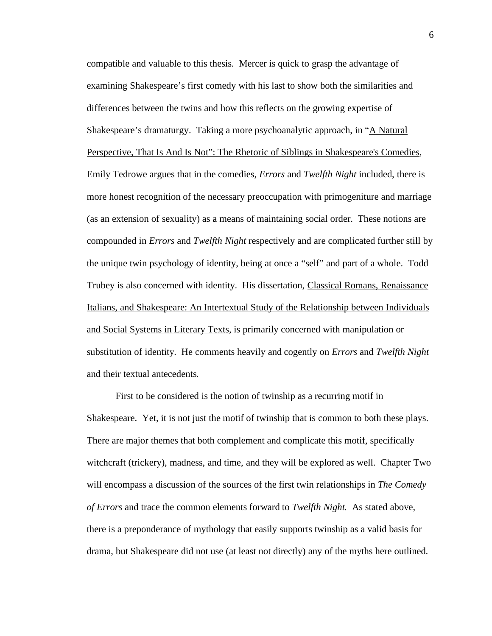compatible and valuable to this thesis. Mercer is quick to grasp the advantage of examining Shakespeare's first comedy with his last to show both the similarities and differences between the twins and how this reflects on the growing expertise of Shakespeare's dramaturgy. Taking a more psychoanalytic approach, in "A Natural Perspective, That Is And Is Not": The Rhetoric of Siblings in Shakespeare's Comedies*,* Emily Tedrowe argues that in the comedies, *Errors* and *Twelfth Night* included, there is more honest recognition of the necessary preoccupation with primogeniture and marriage (as an extension of sexuality) as a means of maintaining social order. These notions are compounded in *Errors* and *Twelfth Night* respectively and are complicated further still by the unique twin psychology of identity, being at once a "self" and part of a whole. Todd Trubey is also concerned with identity. His dissertation, Classical Romans, Renaissance Italians, and Shakespeare: An Intertextual Study of the Relationship between Individuals and Social Systems in Literary Texts, is primarily concerned with manipulation or substitution of identity. He comments heavily and cogently on *Errors* and *Twelfth Night*  and their textual antecedents*.*

First to be considered is the notion of twinship as a recurring motif in Shakespeare. Yet, it is not just the motif of twinship that is common to both these plays. There are major themes that both complement and complicate this motif, specifically witchcraft (trickery), madness, and time, and they will be explored as well. Chapter Two will encompass a discussion of the sources of the first twin relationships in *The Comedy of Errors* and trace the common elements forward to *Twelfth Night.* As stated above, there is a preponderance of mythology that easily supports twinship as a valid basis for drama, but Shakespeare did not use (at least not directly) any of the myths here outlined.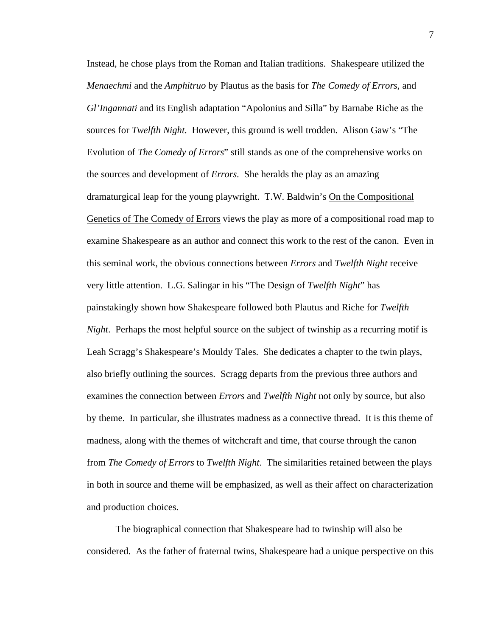Instead, he chose plays from the Roman and Italian traditions. Shakespeare utilized the *Menaechmi* and the *Amphitruo* by Plautus as the basis for *The Comedy of Errors,* and *Gl'Ingannati* and its English adaptation "Apolonius and Silla" by Barnabe Riche as the sources for *Twelfth Night*. However, this ground is well trodden. Alison Gaw's "The Evolution of *The Comedy of Errors*" still stands as one of the comprehensive works on the sources and development of *Errors*. She heralds the play as an amazing dramaturgical leap for the young playwright. T.W. Baldwin's On the Compositional Genetics of The Comedy of Errors views the play as more of a compositional road map to examine Shakespeare as an author and connect this work to the rest of the canon. Even in this seminal work, the obvious connections between *Errors* and *Twelfth Night* receive very little attention. L.G. Salingar in his "The Design of *Twelfth Night*" has painstakingly shown how Shakespeare followed both Plautus and Riche for *Twelfth Night.* Perhaps the most helpful source on the subject of twinship as a recurring motif is Leah Scragg's Shakespeare's Mouldy Tales. She dedicates a chapter to the twin plays, also briefly outlining the sources. Scragg departs from the previous three authors and examines the connection between *Errors* and *Twelfth Night* not only by source, but also by theme. In particular, she illustrates madness as a connective thread. It is this theme of madness, along with the themes of witchcraft and time, that course through the canon from *The Comedy of Errors* to *Twelfth Night*. The similarities retained between the plays in both in source and theme will be emphasized, as well as their affect on characterization and production choices.

The biographical connection that Shakespeare had to twinship will also be considered. As the father of fraternal twins, Shakespeare had a unique perspective on this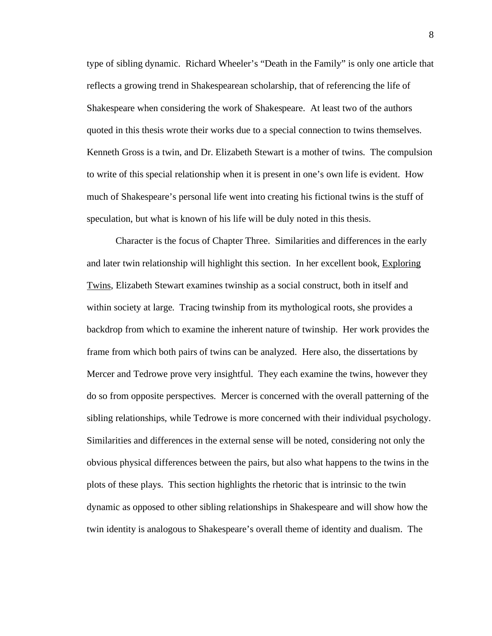type of sibling dynamic. Richard Wheeler's "Death in the Family" is only one article that reflects a growing trend in Shakespearean scholarship, that of referencing the life of Shakespeare when considering the work of Shakespeare. At least two of the authors quoted in this thesis wrote their works due to a special connection to twins themselves. Kenneth Gross is a twin, and Dr. Elizabeth Stewart is a mother of twins. The compulsion to write of this special relationship when it is present in one's own life is evident. How much of Shakespeare's personal life went into creating his fictional twins is the stuff of speculation, but what is known of his life will be duly noted in this thesis.

Character is the focus of Chapter Three. Similarities and differences in the early and later twin relationship will highlight this section. In her excellent book, Exploring Twins, Elizabeth Stewart examines twinship as a social construct, both in itself and within society at large. Tracing twinship from its mythological roots, she provides a backdrop from which to examine the inherent nature of twinship. Her work provides the frame from which both pairs of twins can be analyzed. Here also, the dissertations by Mercer and Tedrowe prove very insightful. They each examine the twins, however they do so from opposite perspectives. Mercer is concerned with the overall patterning of the sibling relationships, while Tedrowe is more concerned with their individual psychology. Similarities and differences in the external sense will be noted, considering not only the obvious physical differences between the pairs, but also what happens to the twins in the plots of these plays. This section highlights the rhetoric that is intrinsic to the twin dynamic as opposed to other sibling relationships in Shakespeare and will show how the twin identity is analogous to Shakespeare's overall theme of identity and dualism. The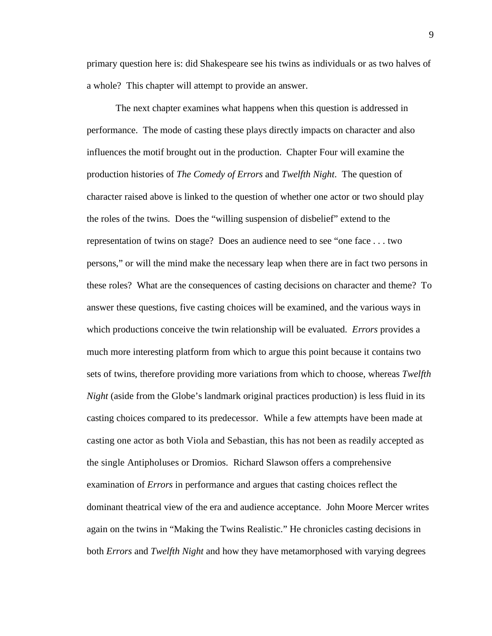primary question here is: did Shakespeare see his twins as individuals or as two halves of a whole? This chapter will attempt to provide an answer.

The next chapter examines what happens when this question is addressed in performance. The mode of casting these plays directly impacts on character and also influences the motif brought out in the production. Chapter Four will examine the production histories of *The Comedy of Errors* and *Twelfth Night*. The question of character raised above is linked to the question of whether one actor or two should play the roles of the twins. Does the "willing suspension of disbelief" extend to the representation of twins on stage? Does an audience need to see "one face . . . two persons," or will the mind make the necessary leap when there are in fact two persons in these roles? What are the consequences of casting decisions on character and theme? To answer these questions, five casting choices will be examined, and the various ways in which productions conceive the twin relationship will be evaluated. *Errors* provides a much more interesting platform from which to argue this point because it contains two sets of twins, therefore providing more variations from which to choose, whereas *Twelfth Night* (aside from the Globe's landmark original practices production) is less fluid in its casting choices compared to its predecessor. While a few attempts have been made at casting one actor as both Viola and Sebastian, this has not been as readily accepted as the single Antipholuses or Dromios. Richard Slawson offers a comprehensive examination of *Errors* in performance and argues that casting choices reflect the dominant theatrical view of the era and audience acceptance. John Moore Mercer writes again on the twins in "Making the Twins Realistic." He chronicles casting decisions in both *Errors* and *Twelfth Night* and how they have metamorphosed with varying degrees

9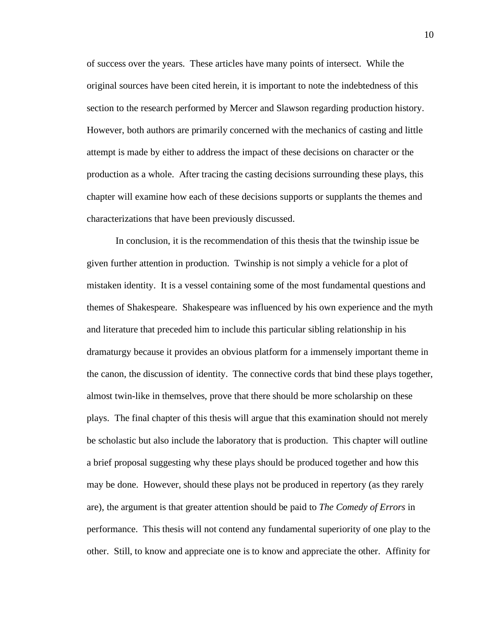of success over the years. These articles have many points of intersect. While the original sources have been cited herein, it is important to note the indebtedness of this section to the research performed by Mercer and Slawson regarding production history. However, both authors are primarily concerned with the mechanics of casting and little attempt is made by either to address the impact of these decisions on character or the production as a whole. After tracing the casting decisions surrounding these plays, this chapter will examine how each of these decisions supports or supplants the themes and characterizations that have been previously discussed.

In conclusion, it is the recommendation of this thesis that the twinship issue be given further attention in production. Twinship is not simply a vehicle for a plot of mistaken identity. It is a vessel containing some of the most fundamental questions and themes of Shakespeare. Shakespeare was influenced by his own experience and the myth and literature that preceded him to include this particular sibling relationship in his dramaturgy because it provides an obvious platform for a immensely important theme in the canon, the discussion of identity. The connective cords that bind these plays together, almost twin-like in themselves, prove that there should be more scholarship on these plays. The final chapter of this thesis will argue that this examination should not merely be scholastic but also include the laboratory that is production. This chapter will outline a brief proposal suggesting why these plays should be produced together and how this may be done. However, should these plays not be produced in repertory (as they rarely are), the argument is that greater attention should be paid to *The Comedy of Errors* in performance. This thesis will not contend any fundamental superiority of one play to the other. Still, to know and appreciate one is to know and appreciate the other. Affinity for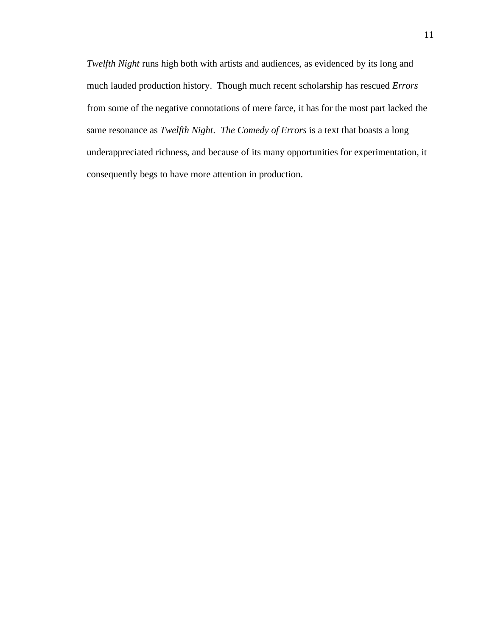*Twelfth Night* runs high both with artists and audiences, as evidenced by its long and much lauded production history. Though much recent scholarship has rescued *Errors* from some of the negative connotations of mere farce, it has for the most part lacked the same resonance as *Twelfth Night*. *The Comedy of Errors* is a text that boasts a long underappreciated richness, and because of its many opportunities for experimentation, it consequently begs to have more attention in production.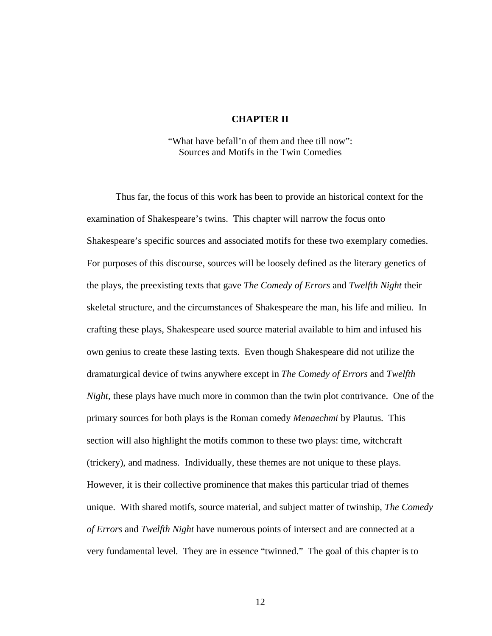#### **CHAPTER II**

"What have befall'n of them and thee till now": Sources and Motifs in the Twin Comedies

Thus far, the focus of this work has been to provide an historical context for the examination of Shakespeare's twins. This chapter will narrow the focus onto Shakespeare's specific sources and associated motifs for these two exemplary comedies. For purposes of this discourse, sources will be loosely defined as the literary genetics of the plays, the preexisting texts that gave *The Comedy of Errors* and *Twelfth Night* their skeletal structure, and the circumstances of Shakespeare the man, his life and milieu. In crafting these plays, Shakespeare used source material available to him and infused his own genius to create these lasting texts. Even though Shakespeare did not utilize the dramaturgical device of twins anywhere except in *The Comedy of Errors* and *Twelfth Night*, these plays have much more in common than the twin plot contrivance. One of the primary sources for both plays is the Roman comedy *Menaechmi* by Plautus. This section will also highlight the motifs common to these two plays: time, witchcraft (trickery), and madness. Individually, these themes are not unique to these plays. However, it is their collective prominence that makes this particular triad of themes unique. With shared motifs, source material, and subject matter of twinship, *The Comedy of Errors* and *Twelfth Night* have numerous points of intersect and are connected at a very fundamental level. They are in essence "twinned." The goal of this chapter is to

12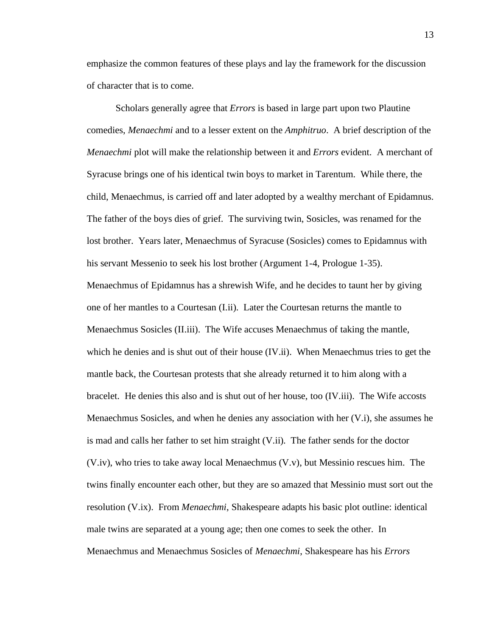emphasize the common features of these plays and lay the framework for the discussion of character that is to come.

Scholars generally agree that *Errors* is based in large part upon two Plautine comedies, *Menaechmi* and to a lesser extent on the *Amphitruo*. A brief description of the *Menaechmi* plot will make the relationship between it and *Errors* evident. A merchant of Syracuse brings one of his identical twin boys to market in Tarentum. While there, the child, Menaechmus, is carried off and later adopted by a wealthy merchant of Epidamnus. The father of the boys dies of grief. The surviving twin, Sosicles, was renamed for the lost brother. Years later, Menaechmus of Syracuse (Sosicles) comes to Epidamnus with his servant Messenio to seek his lost brother (Argument 1-4, Prologue 1-35). Menaechmus of Epidamnus has a shrewish Wife, and he decides to taunt her by giving one of her mantles to a Courtesan (I.ii). Later the Courtesan returns the mantle to Menaechmus Sosicles (II.iii). The Wife accuses Menaechmus of taking the mantle, which he denies and is shut out of their house (IV.ii). When Menaechmus tries to get the mantle back, the Courtesan protests that she already returned it to him along with a bracelet. He denies this also and is shut out of her house, too (IV.iii). The Wife accosts Menaechmus Sosicles, and when he denies any association with her (V.i), she assumes he is mad and calls her father to set him straight (V.ii). The father sends for the doctor (V.iv), who tries to take away local Menaechmus (V.v), but Messinio rescues him. The twins finally encounter each other, but they are so amazed that Messinio must sort out the resolution (V.ix). From *Menaechmi*, Shakespeare adapts his basic plot outline: identical male twins are separated at a young age; then one comes to seek the other. In Menaechmus and Menaechmus Sosicles of *Menaechmi*, Shakespeare has his *Errors*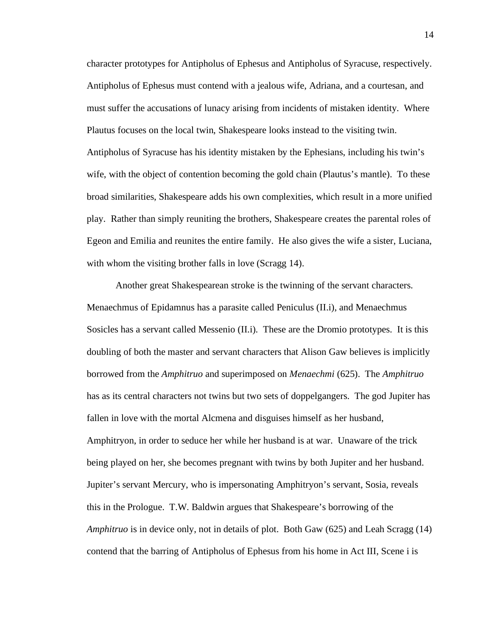character prototypes for Antipholus of Ephesus and Antipholus of Syracuse, respectively. Antipholus of Ephesus must contend with a jealous wife, Adriana, and a courtesan, and must suffer the accusations of lunacy arising from incidents of mistaken identity. Where Plautus focuses on the local twin, Shakespeare looks instead to the visiting twin. Antipholus of Syracuse has his identity mistaken by the Ephesians, including his twin's wife, with the object of contention becoming the gold chain (Plautus's mantle). To these broad similarities, Shakespeare adds his own complexities, which result in a more unified play. Rather than simply reuniting the brothers, Shakespeare creates the parental roles of Egeon and Emilia and reunites the entire family. He also gives the wife a sister, Luciana, with whom the visiting brother falls in love (Scragg 14).

Another great Shakespearean stroke is the twinning of the servant characters. Menaechmus of Epidamnus has a parasite called Peniculus (II.i), and Menaechmus Sosicles has a servant called Messenio (II.i). These are the Dromio prototypes. It is this doubling of both the master and servant characters that Alison Gaw believes is implicitly borrowed from the *Amphitruo* and superimposed on *Menaechmi* (625). The *Amphitruo* has as its central characters not twins but two sets of doppelgangers. The god Jupiter has fallen in love with the mortal Alcmena and disguises himself as her husband, Amphitryon, in order to seduce her while her husband is at war. Unaware of the trick being played on her, she becomes pregnant with twins by both Jupiter and her husband. Jupiter's servant Mercury, who is impersonating Amphitryon's servant, Sosia, reveals this in the Prologue. T.W. Baldwin argues that Shakespeare's borrowing of the *Amphitruo* is in device only, not in details of plot. Both Gaw (625) and Leah Scragg (14) contend that the barring of Antipholus of Ephesus from his home in Act III, Scene i is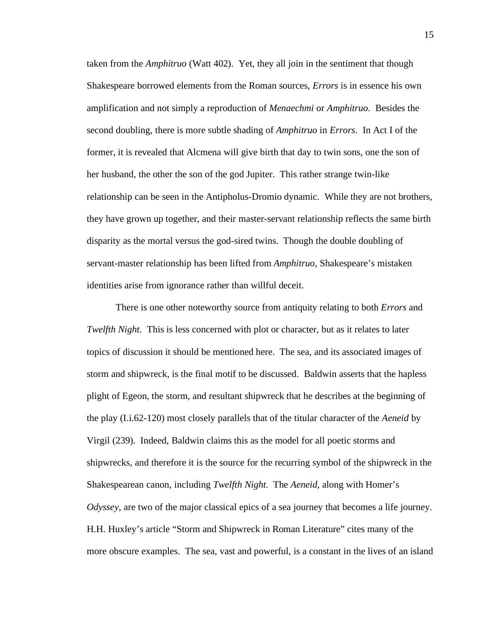taken from the *Amphitruo* (Watt 402). Yet, they all join in the sentiment that though Shakespeare borrowed elements from the Roman sources, *Errors* is in essence his own amplification and not simply a reproduction of *Menaechmi* or *Amphitruo*. Besides the second doubling, there is more subtle shading of *Amphitruo* in *Errors*. In Act I of the former, it is revealed that Alcmena will give birth that day to twin sons, one the son of her husband, the other the son of the god Jupiter. This rather strange twin-like relationship can be seen in the Antipholus-Dromio dynamic. While they are not brothers, they have grown up together, and their master-servant relationship reflects the same birth disparity as the mortal versus the god-sired twins. Though the double doubling of servant-master relationship has been lifted from *Amphitruo*, Shakespeare's mistaken identities arise from ignorance rather than willful deceit.

There is one other noteworthy source from antiquity relating to both *Errors* and *Twelfth Night*. This is less concerned with plot or character, but as it relates to later topics of discussion it should be mentioned here. The sea, and its associated images of storm and shipwreck, is the final motif to be discussed. Baldwin asserts that the hapless plight of Egeon, the storm, and resultant shipwreck that he describes at the beginning of the play (I.i.62-120) most closely parallels that of the titular character of the *Aeneid* by Virgil (239). Indeed, Baldwin claims this as the model for all poetic storms and shipwrecks, and therefore it is the source for the recurring symbol of the shipwreck in the Shakespearean canon, including *Twelfth Night*. The *Aeneid*, along with Homer's *Odyssey*, are two of the major classical epics of a sea journey that becomes a life journey. H.H. Huxley's article "Storm and Shipwreck in Roman Literature" cites many of the more obscure examples. The sea, vast and powerful, is a constant in the lives of an island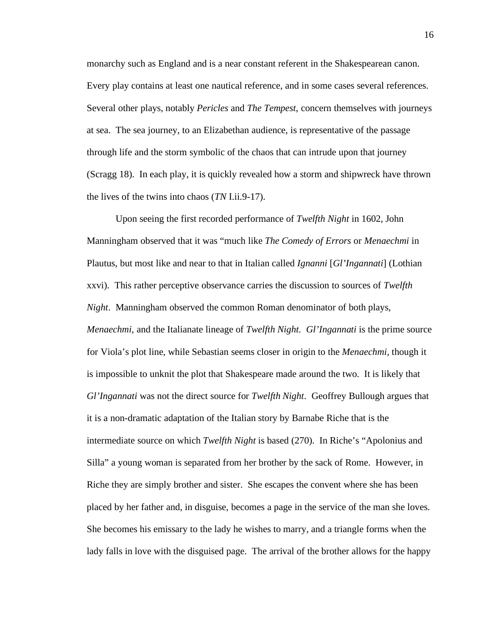monarchy such as England and is a near constant referent in the Shakespearean canon. Every play contains at least one nautical reference, and in some cases several references. Several other plays, notably *Pericles* and *The Tempest*, concern themselves with journeys at sea. The sea journey, to an Elizabethan audience, is representative of the passage through life and the storm symbolic of the chaos that can intrude upon that journey (Scragg 18). In each play, it is quickly revealed how a storm and shipwreck have thrown the lives of the twins into chaos (*TN* I.ii.9-17).

Upon seeing the first recorded performance of *Twelfth Night* in 1602, John Manningham observed that it was "much like *The Comedy of Errors* or *Menaechmi* in Plautus, but most like and near to that in Italian called *Ignanni* [*Gl'Ingannati*] (Lothian xxvi). This rather perceptive observance carries the discussion to sources of *Twelfth Night*. Manningham observed the common Roman denominator of both plays, *Menaechmi*, and the Italianate lineage of *Twelfth Night. Gl'Ingannati* is the prime source for Viola's plot line, while Sebastian seems closer in origin to the *Menaechmi,* though it is impossible to unknit the plot that Shakespeare made around the two. It is likely that *Gl'Ingannati* was not the direct source for *Twelfth Night*. Geoffrey Bullough argues that it is a non-dramatic adaptation of the Italian story by Barnabe Riche that is the intermediate source on which *Twelfth Night* is based (270). In Riche's "Apolonius and Silla" a young woman is separated from her brother by the sack of Rome. However, in Riche they are simply brother and sister. She escapes the convent where she has been placed by her father and, in disguise, becomes a page in the service of the man she loves. She becomes his emissary to the lady he wishes to marry, and a triangle forms when the lady falls in love with the disguised page. The arrival of the brother allows for the happy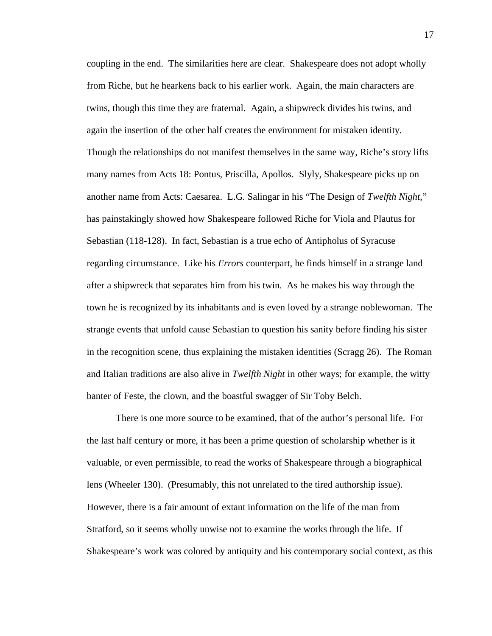coupling in the end. The similarities here are clear. Shakespeare does not adopt wholly from Riche, but he hearkens back to his earlier work. Again, the main characters are twins, though this time they are fraternal. Again, a shipwreck divides his twins, and again the insertion of the other half creates the environment for mistaken identity. Though the relationships do not manifest themselves in the same way, Riche's story lifts many names from Acts 18: Pontus, Priscilla, Apollos. Slyly, Shakespeare picks up on another name from Acts: Caesarea. L.G. Salingar in his "The Design of *Twelfth Night*," has painstakingly showed how Shakespeare followed Riche for Viola and Plautus for Sebastian (118-128). In fact, Sebastian is a true echo of Antipholus of Syracuse regarding circumstance. Like his *Errors* counterpart, he finds himself in a strange land after a shipwreck that separates him from his twin. As he makes his way through the town he is recognized by its inhabitants and is even loved by a strange noblewoman. The strange events that unfold cause Sebastian to question his sanity before finding his sister in the recognition scene, thus explaining the mistaken identities (Scragg 26). The Roman and Italian traditions are also alive in *Twelfth Night* in other ways; for example, the witty banter of Feste, the clown, and the boastful swagger of Sir Toby Belch.

There is one more source to be examined, that of the author's personal life. For the last half century or more, it has been a prime question of scholarship whether is it valuable, or even permissible, to read the works of Shakespeare through a biographical lens (Wheeler 130). (Presumably, this not unrelated to the tired authorship issue). However, there is a fair amount of extant information on the life of the man from Stratford, so it seems wholly unwise not to examine the works through the life. If Shakespeare's work was colored by antiquity and his contemporary social context, as this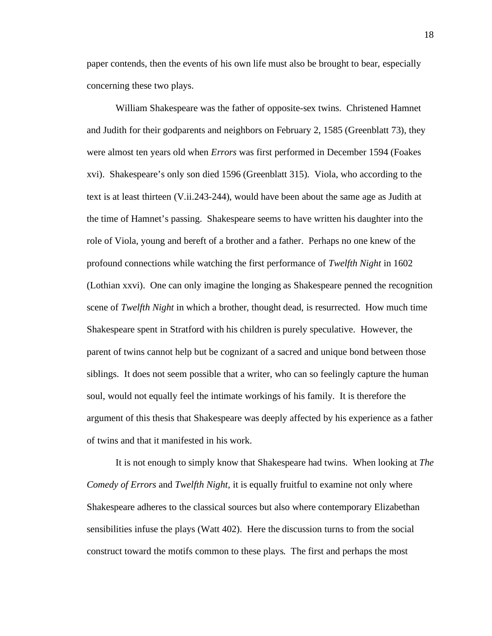paper contends, then the events of his own life must also be brought to bear, especially concerning these two plays.

William Shakespeare was the father of opposite-sex twins. Christened Hamnet and Judith for their godparents and neighbors on February 2, 1585 (Greenblatt 73), they were almost ten years old when *Errors* was first performed in December 1594 (Foakes xvi). Shakespeare's only son died 1596 (Greenblatt 315). Viola, who according to the text is at least thirteen (V.ii.243-244), would have been about the same age as Judith at the time of Hamnet's passing. Shakespeare seems to have written his daughter into the role of Viola, young and bereft of a brother and a father. Perhaps no one knew of the profound connections while watching the first performance of *Twelfth Night* in 1602 (Lothian xxvi). One can only imagine the longing as Shakespeare penned the recognition scene of *Twelfth Night* in which a brother, thought dead, is resurrected. How much time Shakespeare spent in Stratford with his children is purely speculative. However, the parent of twins cannot help but be cognizant of a sacred and unique bond between those siblings. It does not seem possible that a writer, who can so feelingly capture the human soul, would not equally feel the intimate workings of his family. It is therefore the argument of this thesis that Shakespeare was deeply affected by his experience as a father of twins and that it manifested in his work.

It is not enough to simply know that Shakespeare had twins. When looking at *The Comedy of Errors* and *Twelfth Night*, it is equally fruitful to examine not only where Shakespeare adheres to the classical sources but also where contemporary Elizabethan sensibilities infuse the plays (Watt 402). Here the discussion turns to from the social construct toward the motifs common to these plays. The first and perhaps the most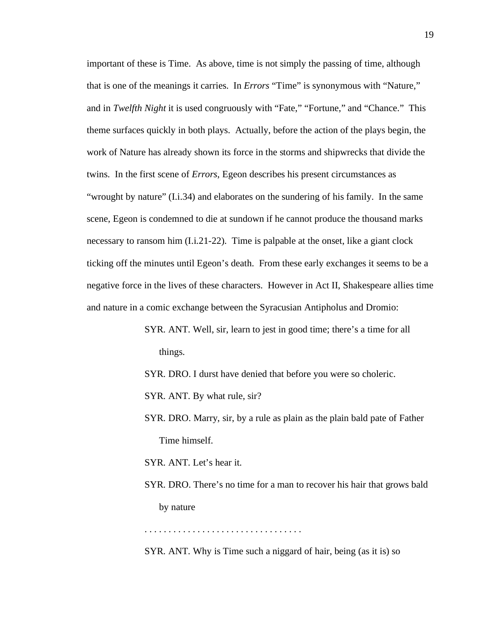important of these is Time. As above, time is not simply the passing of time, although that is one of the meanings it carries. In *Errors* "Time" is synonymous with "Nature," and in *Twelfth Night* it is used congruously with "Fate," "Fortune," and "Chance." This theme surfaces quickly in both plays. Actually, before the action of the plays begin, the work of Nature has already shown its force in the storms and shipwrecks that divide the twins. In the first scene of *Errors*, Egeon describes his present circumstances as "wrought by nature" (I.i.34) and elaborates on the sundering of his family. In the same scene, Egeon is condemned to die at sundown if he cannot produce the thousand marks necessary to ransom him (I.i.21-22). Time is palpable at the onset, like a giant clock ticking off the minutes until Egeon's death. From these early exchanges it seems to be a negative force in the lives of these characters. However in Act II, Shakespeare allies time and nature in a comic exchange between the Syracusian Antipholus and Dromio:

> SYR. ANT. Well, sir, learn to jest in good time; there's a time for all things.

SYR. DRO. I durst have denied that before you were so choleric.

SYR. ANT. By what rule, sir?

SYR. DRO. Marry, sir, by a rule as plain as the plain bald pate of Father Time himself.

SYR. ANT. Let's hear it.

SYR. DRO. There's no time for a man to recover his hair that grows bald by nature

. . . . . . . . . . . . . . . . . . . . . . . . . . . . . . . . .

SYR. ANT. Why is Time such a niggard of hair, being (as it is) so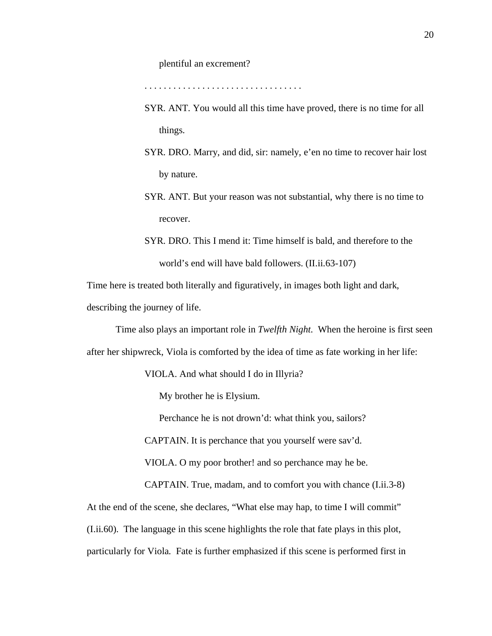#### plentiful an excrement?

. . . . . . . . . . . . . . . . . . . . . . . . . . . . . . . . .

- SYR. ANT. You would all this time have proved, there is no time for all things.
- SYR. DRO. Marry, and did, sir: namely, e'en no time to recover hair lost by nature.
- SYR. ANT. But your reason was not substantial, why there is no time to recover.
- SYR. DRO. This I mend it: Time himself is bald, and therefore to the world's end will have bald followers. (II.ii.63-107)

Time here is treated both literally and figuratively, in images both light and dark, describing the journey of life.

Time also plays an important role in *Twelfth Night*. When the heroine is first seen after her shipwreck, Viola is comforted by the idea of time as fate working in her life:

VIOLA. And what should I do in Illyria?

My brother he is Elysium.

Perchance he is not drown'd: what think you, sailors?

CAPTAIN. It is perchance that you yourself were sav'd.

VIOLA. O my poor brother! and so perchance may he be.

CAPTAIN. True, madam, and to comfort you with chance (I.ii.3-8)

At the end of the scene, she declares, "What else may hap, to time I will commit" (I.ii.60). The language in this scene highlights the role that fate plays in this plot, particularly for Viola. Fate is further emphasized if this scene is performed first in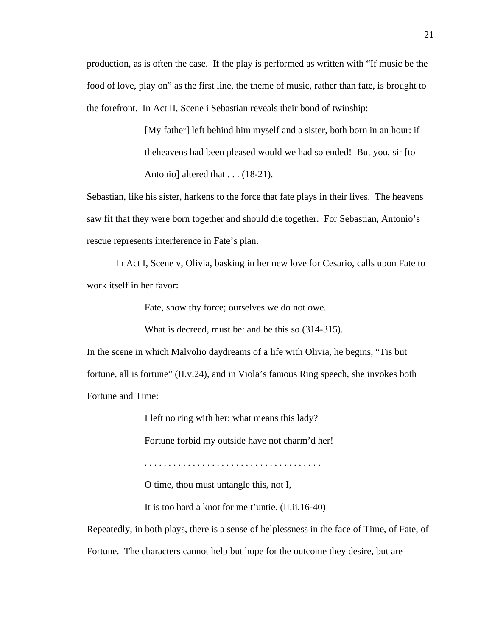production, as is often the case. If the play is performed as written with "If music be the food of love, play on" as the first line, the theme of music, rather than fate, is brought to the forefront. In Act II, Scene i Sebastian reveals their bond of twinship:

> [My father] left behind him myself and a sister, both born in an hour: if theheavens had been pleased would we had so ended! But you, sir [to Antonio] altered that . . . (18-21).

Sebastian, like his sister, harkens to the force that fate plays in their lives. The heavens saw fit that they were born together and should die together. For Sebastian, Antonio's rescue represents interference in Fate's plan.

In Act I, Scene v, Olivia, basking in her new love for Cesario, calls upon Fate to work itself in her favor:

Fate, show thy force; ourselves we do not owe.

What is decreed, must be: and be this so (314-315).

In the scene in which Malvolio daydreams of a life with Olivia, he begins, "Tis but fortune, all is fortune" (II.v.24), and in Viola's famous Ring speech, she invokes both Fortune and Time:

I left no ring with her: what means this lady?

Fortune forbid my outside have not charm'd her!

. . . . . . . . . . . . . . . . . . . . . . . . . . . . . . . . . . . . .

O time, thou must untangle this, not I,

It is too hard a knot for me t'untie. (II.ii.16-40)

Repeatedly, in both plays, there is a sense of helplessness in the face of Time, of Fate, of Fortune. The characters cannot help but hope for the outcome they desire, but are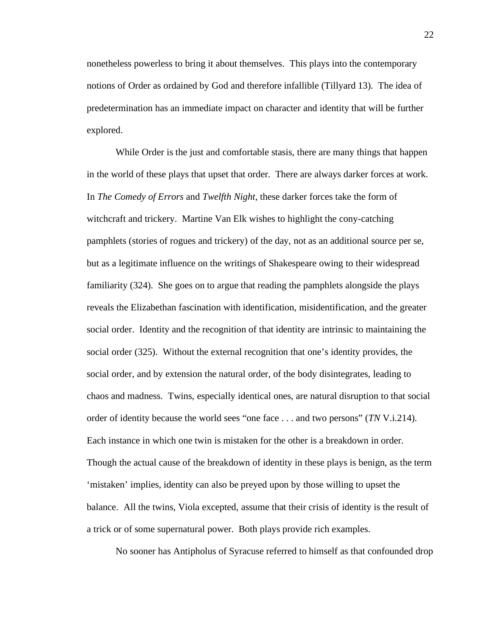nonetheless powerless to bring it about themselves. This plays into the contemporary notions of Order as ordained by God and therefore infallible (Tillyard 13). The idea of predetermination has an immediate impact on character and identity that will be further explored.

While Order is the just and comfortable stasis, there are many things that happen in the world of these plays that upset that order. There are always darker forces at work. In *The Comedy of Errors* and *Twelfth Night*, these darker forces take the form of witchcraft and trickery. Martine Van Elk wishes to highlight the cony-catching pamphlets (stories of rogues and trickery) of the day, not as an additional source per se, but as a legitimate influence on the writings of Shakespeare owing to their widespread familiarity (324). She goes on to argue that reading the pamphlets alongside the plays reveals the Elizabethan fascination with identification, misidentification, and the greater social order. Identity and the recognition of that identity are intrinsic to maintaining the social order (325). Without the external recognition that one's identity provides, the social order, and by extension the natural order, of the body disintegrates, leading to chaos and madness. Twins, especially identical ones, are natural disruption to that social order of identity because the world sees "one face . . . and two persons" (*TN* V.i.214). Each instance in which one twin is mistaken for the other is a breakdown in order. Though the actual cause of the breakdown of identity in these plays is benign, as the term 'mistaken' implies, identity can also be preyed upon by those willing to upset the balance. All the twins, Viola excepted, assume that their crisis of identity is the result of a trick or of some supernatural power. Both plays provide rich examples.

No sooner has Antipholus of Syracuse referred to himself as that confounded drop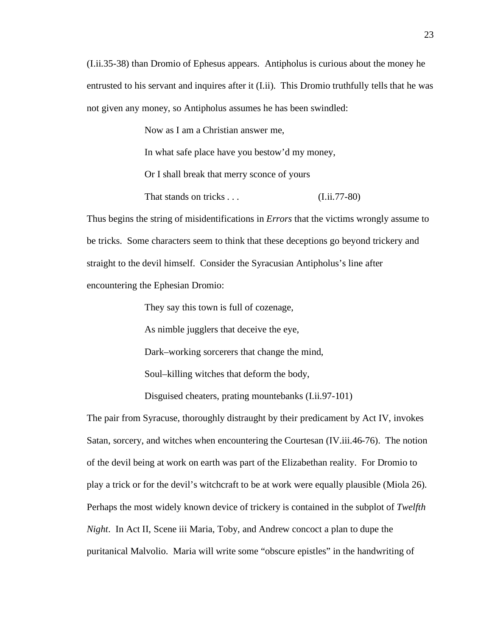(I.ii.35-38) than Dromio of Ephesus appears. Antipholus is curious about the money he entrusted to his servant and inquires after it (I.ii). This Dromio truthfully tells that he was not given any money, so Antipholus assumes he has been swindled:

> Now as I am a Christian answer me, In what safe place have you bestow'd my money, Or I shall break that merry sconce of yours That stands on tricks . . . (I.ii.77-80)

Thus begins the string of misidentifications in *Errors* that the victims wrongly assume to be tricks. Some characters seem to think that these deceptions go beyond trickery and straight to the devil himself. Consider the Syracusian Antipholus's line after encountering the Ephesian Dromio:

They say this town is full of cozenage,

As nimble jugglers that deceive the eye,

Dark–working sorcerers that change the mind,

Soul–killing witches that deform the body,

Disguised cheaters, prating mountebanks (I.ii.97-101)

The pair from Syracuse, thoroughly distraught by their predicament by Act IV, invokes Satan, sorcery, and witches when encountering the Courtesan (IV.iii.46-76). The notion of the devil being at work on earth was part of the Elizabethan reality. For Dromio to play a trick or for the devil's witchcraft to be at work were equally plausible (Miola 26). Perhaps the most widely known device of trickery is contained in the subplot of *Twelfth Night*. In Act II, Scene iii Maria, Toby, and Andrew concoct a plan to dupe the puritanical Malvolio. Maria will write some "obscure epistles" in the handwriting of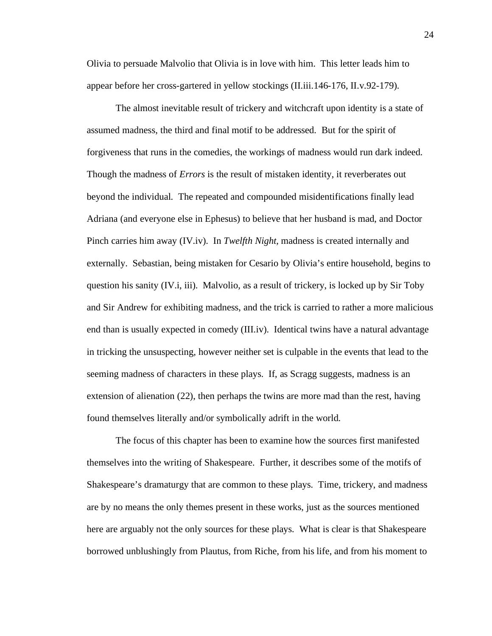Olivia to persuade Malvolio that Olivia is in love with him. This letter leads him to appear before her cross-gartered in yellow stockings (II.iii.146-176, II.v.92-179).

The almost inevitable result of trickery and witchcraft upon identity is a state of assumed madness, the third and final motif to be addressed. But for the spirit of forgiveness that runs in the comedies, the workings of madness would run dark indeed. Though the madness of *Errors* is the result of mistaken identity, it reverberates out beyond the individual. The repeated and compounded misidentifications finally lead Adriana (and everyone else in Ephesus) to believe that her husband is mad, and Doctor Pinch carries him away (IV.iv). In *Twelfth Night,* madness is created internally and externally. Sebastian, being mistaken for Cesario by Olivia's entire household, begins to question his sanity (IV.i, iii). Malvolio, as a result of trickery, is locked up by Sir Toby and Sir Andrew for exhibiting madness, and the trick is carried to rather a more malicious end than is usually expected in comedy (III.iv). Identical twins have a natural advantage in tricking the unsuspecting, however neither set is culpable in the events that lead to the seeming madness of characters in these plays. If, as Scragg suggests, madness is an extension of alienation (22), then perhaps the twins are more mad than the rest, having found themselves literally and/or symbolically adrift in the world.

The focus of this chapter has been to examine how the sources first manifested themselves into the writing of Shakespeare. Further, it describes some of the motifs of Shakespeare's dramaturgy that are common to these plays. Time, trickery, and madness are by no means the only themes present in these works, just as the sources mentioned here are arguably not the only sources for these plays. What is clear is that Shakespeare borrowed unblushingly from Plautus, from Riche, from his life, and from his moment to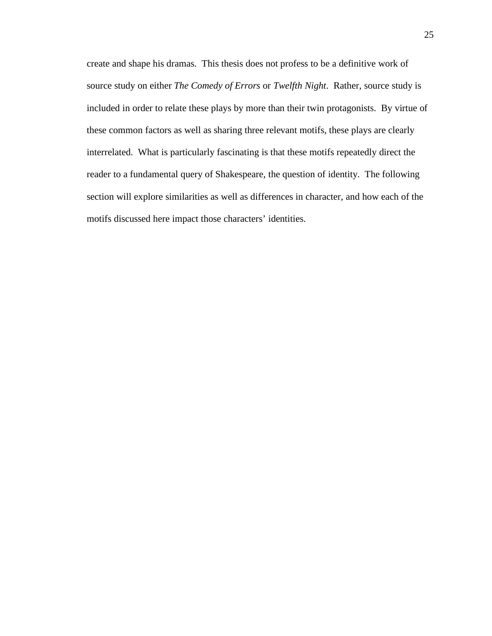create and shape his dramas. This thesis does not profess to be a definitive work of source study on either *The Comedy of Errors* or *Twelfth Night*. Rather, source study is included in order to relate these plays by more than their twin protagonists. By virtue of these common factors as well as sharing three relevant motifs, these plays are clearly interrelated. What is particularly fascinating is that these motifs repeatedly direct the reader to a fundamental query of Shakespeare, the question of identity. The following section will explore similarities as well as differences in character, and how each of the motifs discussed here impact those characters' identities.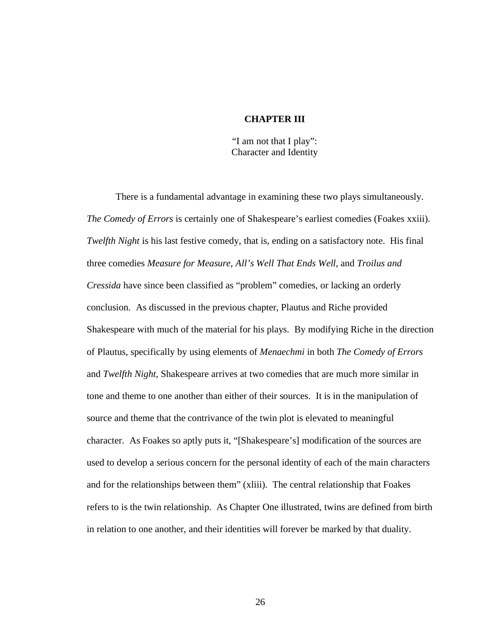### **CHAPTER III**

"I am not that I play": Character and Identity

There is a fundamental advantage in examining these two plays simultaneously. *The Comedy of Errors* is certainly one of Shakespeare's earliest comedies (Foakes xxiii). *Twelfth Night* is his last festive comedy, that is, ending on a satisfactory note. His final three comedies *Measure for Measure*, *All's Well That Ends Well*, and *Troilus and Cressida* have since been classified as "problem" comedies, or lacking an orderly conclusion. As discussed in the previous chapter, Plautus and Riche provided Shakespeare with much of the material for his plays. By modifying Riche in the direction of Plautus, specifically by using elements of *Menaechmi* in both *The Comedy of Errors* and *Twelfth Night,* Shakespeare arrives at two comedies that are much more similar in tone and theme to one another than either of their sources. It is in the manipulation of source and theme that the contrivance of the twin plot is elevated to meaningful character. As Foakes so aptly puts it, "[Shakespeare's] modification of the sources are used to develop a serious concern for the personal identity of each of the main characters and for the relationships between them" (xliii). The central relationship that Foakes refers to is the twin relationship. As Chapter One illustrated, twins are defined from birth in relation to one another, and their identities will forever be marked by that duality.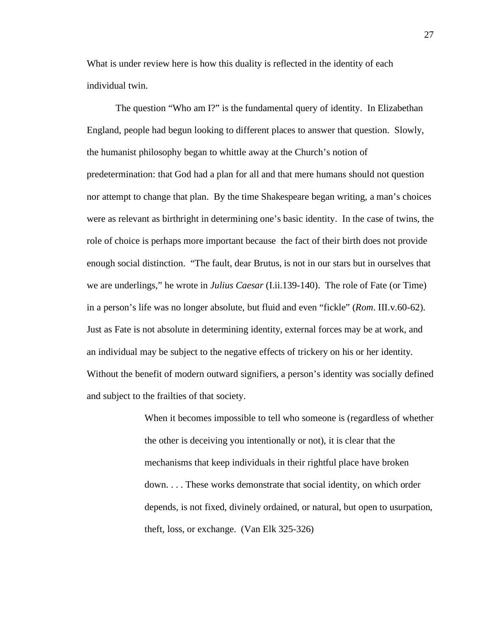What is under review here is how this duality is reflected in the identity of each individual twin.

The question "Who am I?" is the fundamental query of identity. In Elizabethan England, people had begun looking to different places to answer that question. Slowly, the humanist philosophy began to whittle away at the Church's notion of predetermination: that God had a plan for all and that mere humans should not question nor attempt to change that plan. By the time Shakespeare began writing, a man's choices were as relevant as birthright in determining one's basic identity. In the case of twins, the role of choice is perhaps more important because the fact of their birth does not provide enough social distinction. "The fault, dear Brutus, is not in our stars but in ourselves that we are underlings," he wrote in *Julius Caesar* (I.ii.139-140). The role of Fate (or Time) in a person's life was no longer absolute, but fluid and even "fickle" (*Rom*. III.v.60-62). Just as Fate is not absolute in determining identity, external forces may be at work, and an individual may be subject to the negative effects of trickery on his or her identity. Without the benefit of modern outward signifiers, a person's identity was socially defined and subject to the frailties of that society.

> When it becomes impossible to tell who someone is (regardless of whether the other is deceiving you intentionally or not), it is clear that the mechanisms that keep individuals in their rightful place have broken down. . . . These works demonstrate that social identity, on which order depends, is not fixed, divinely ordained, or natural, but open to usurpation, theft, loss, or exchange. (Van Elk 325-326)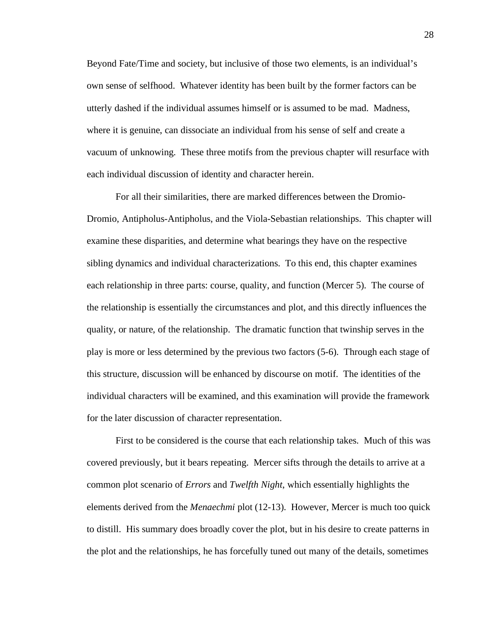Beyond Fate/Time and society, but inclusive of those two elements, is an individual's own sense of selfhood. Whatever identity has been built by the former factors can be utterly dashed if the individual assumes himself or is assumed to be mad. Madness, where it is genuine, can dissociate an individual from his sense of self and create a vacuum of unknowing. These three motifs from the previous chapter will resurface with each individual discussion of identity and character herein.

For all their similarities, there are marked differences between the Dromio-Dromio, Antipholus-Antipholus, and the Viola-Sebastian relationships. This chapter will examine these disparities, and determine what bearings they have on the respective sibling dynamics and individual characterizations. To this end, this chapter examines each relationship in three parts: course, quality, and function (Mercer 5). The course of the relationship is essentially the circumstances and plot, and this directly influences the quality, or nature, of the relationship. The dramatic function that twinship serves in the play is more or less determined by the previous two factors (5-6). Through each stage of this structure, discussion will be enhanced by discourse on motif. The identities of the individual characters will be examined, and this examination will provide the framework for the later discussion of character representation.

First to be considered is the course that each relationship takes. Much of this was covered previously, but it bears repeating. Mercer sifts through the details to arrive at a common plot scenario of *Errors* and *Twelfth Night*, which essentially highlights the elements derived from the *Menaechmi* plot (12-13). However, Mercer is much too quick to distill. His summary does broadly cover the plot, but in his desire to create patterns in the plot and the relationships, he has forcefully tuned out many of the details, sometimes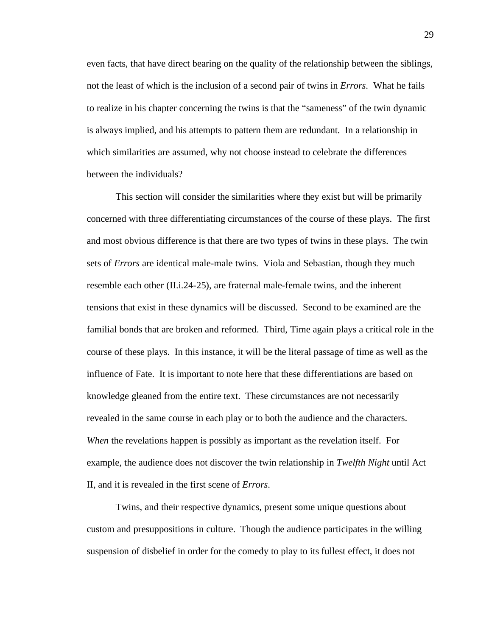even facts, that have direct bearing on the quality of the relationship between the siblings, not the least of which is the inclusion of a second pair of twins in *Errors*. What he fails to realize in his chapter concerning the twins is that the "sameness" of the twin dynamic is always implied, and his attempts to pattern them are redundant. In a relationship in which similarities are assumed, why not choose instead to celebrate the differences between the individuals?

This section will consider the similarities where they exist but will be primarily concerned with three differentiating circumstances of the course of these plays. The first and most obvious difference is that there are two types of twins in these plays. The twin sets of *Errors* are identical male-male twins. Viola and Sebastian, though they much resemble each other (II.i.24-25), are fraternal male-female twins, and the inherent tensions that exist in these dynamics will be discussed. Second to be examined are the familial bonds that are broken and reformed. Third, Time again plays a critical role in the course of these plays. In this instance, it will be the literal passage of time as well as the influence of Fate. It is important to note here that these differentiations are based on knowledge gleaned from the entire text. These circumstances are not necessarily revealed in the same course in each play or to both the audience and the characters. *When* the revelations happen is possibly as important as the revelation itself. For example, the audience does not discover the twin relationship in *Twelfth Night* until Act II, and it is revealed in the first scene of *Errors*.

Twins, and their respective dynamics, present some unique questions about custom and presuppositions in culture. Though the audience participates in the willing suspension of disbelief in order for the comedy to play to its fullest effect, it does not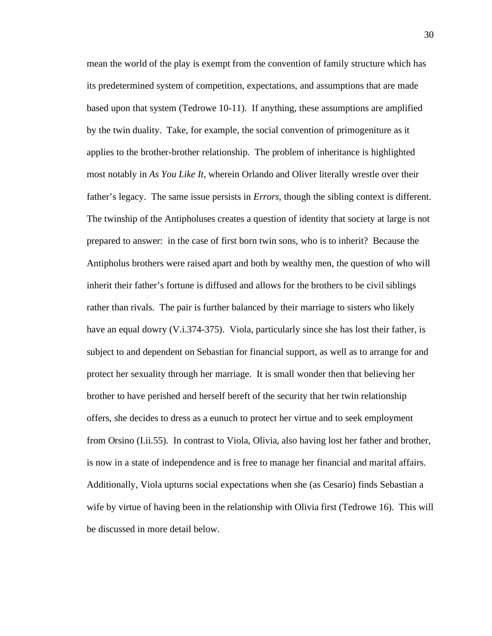mean the world of the play is exempt from the convention of family structure which has its predetermined system of competition, expectations, and assumptions that are made based upon that system (Tedrowe 10-11). If anything, these assumptions are amplified by the twin duality. Take, for example, the social convention of primogeniture as it applies to the brother-brother relationship. The problem of inheritance is highlighted most notably in *As You Like It*, wherein Orlando and Oliver literally wrestle over their father's legacy. The same issue persists in *Errors*, though the sibling context is different. The twinship of the Antipholuses creates a question of identity that society at large is not prepared to answer: in the case of first born twin sons, who is to inherit? Because the Antipholus brothers were raised apart and both by wealthy men, the question of who will inherit their father's fortune is diffused and allows for the brothers to be civil siblings rather than rivals. The pair is further balanced by their marriage to sisters who likely have an equal dowry (V.i.374-375). Viola, particularly since she has lost their father, is subject to and dependent on Sebastian for financial support, as well as to arrange for and protect her sexuality through her marriage. It is small wonder then that believing her brother to have perished and herself bereft of the security that her twin relationship offers, she decides to dress as a eunuch to protect her virtue and to seek employment from Orsino (I.ii.55). In contrast to Viola, Olivia, also having lost her father and brother, is now in a state of independence and is free to manage her financial and marital affairs. Additionally, Viola upturns social expectations when she (as Cesario) finds Sebastian a wife by virtue of having been in the relationship with Olivia first (Tedrowe 16). This will be discussed in more detail below.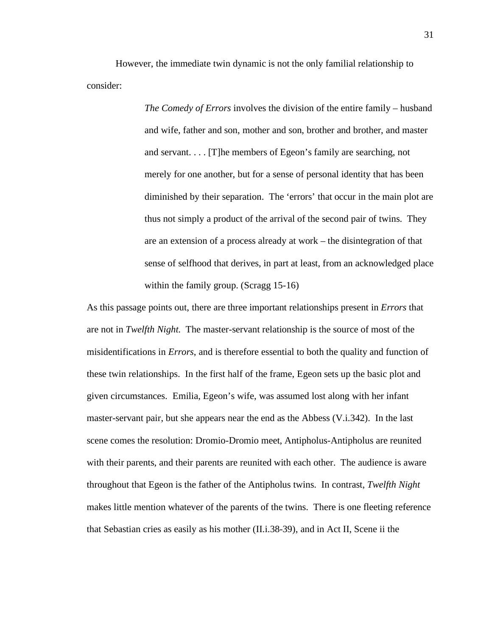However, the immediate twin dynamic is not the only familial relationship to consider:

> *The Comedy of Errors* involves the division of the entire family – husband and wife, father and son, mother and son, brother and brother, and master and servant. . . . [T]he members of Egeon's family are searching, not merely for one another, but for a sense of personal identity that has been diminished by their separation. The 'errors' that occur in the main plot are thus not simply a product of the arrival of the second pair of twins. They are an extension of a process already at work – the disintegration of that sense of selfhood that derives, in part at least, from an acknowledged place within the family group. (Scragg 15-16)

As this passage points out, there are three important relationships present in *Errors* that are not in *Twelfth Night*. The master-servant relationship is the source of most of the misidentifications in *Errors*, and is therefore essential to both the quality and function of these twin relationships. In the first half of the frame, Egeon sets up the basic plot and given circumstances. Emilia, Egeon's wife, was assumed lost along with her infant master-servant pair, but she appears near the end as the Abbess (V.i.342). In the last scene comes the resolution: Dromio-Dromio meet, Antipholus-Antipholus are reunited with their parents, and their parents are reunited with each other. The audience is aware throughout that Egeon is the father of the Antipholus twins. In contrast, *Twelfth Night* makes little mention whatever of the parents of the twins. There is one fleeting reference that Sebastian cries as easily as his mother (II.i.38-39), and in Act II, Scene ii the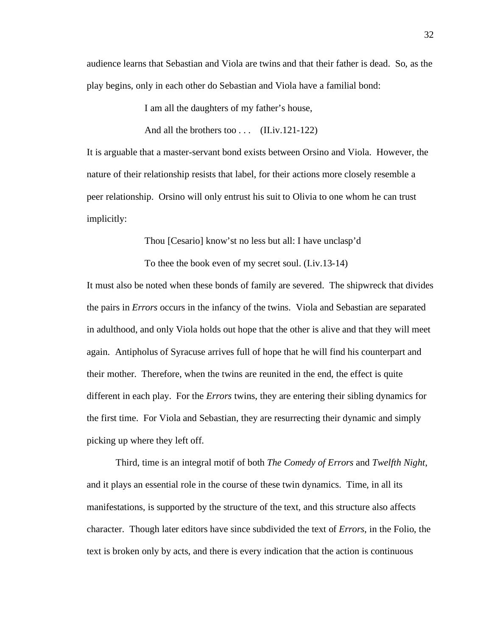audience learns that Sebastian and Viola are twins and that their father is dead. So, as the play begins, only in each other do Sebastian and Viola have a familial bond:

I am all the daughters of my father's house,

And all the brothers too . . . (II.iv.121-122)

It is arguable that a master-servant bond exists between Orsino and Viola. However, the nature of their relationship resists that label, for their actions more closely resemble a peer relationship. Orsino will only entrust his suit to Olivia to one whom he can trust implicitly:

Thou [Cesario] know'st no less but all: I have unclasp'd

To thee the book even of my secret soul. (I.iv.13-14)

It must also be noted when these bonds of family are severed. The shipwreck that divides the pairs in *Errors* occurs in the infancy of the twins. Viola and Sebastian are separated in adulthood, and only Viola holds out hope that the other is alive and that they will meet again. Antipholus of Syracuse arrives full of hope that he will find his counterpart and their mother. Therefore, when the twins are reunited in the end, the effect is quite different in each play. For the *Errors* twins, they are entering their sibling dynamics for the first time. For Viola and Sebastian, they are resurrecting their dynamic and simply picking up where they left off.

Third, time is an integral motif of both *The Comedy of Errors* and *Twelfth Night*, and it plays an essential role in the course of these twin dynamics. Time, in all its manifestations, is supported by the structure of the text, and this structure also affects character. Though later editors have since subdivided the text of *Errors*, in the Folio, the text is broken only by acts, and there is every indication that the action is continuous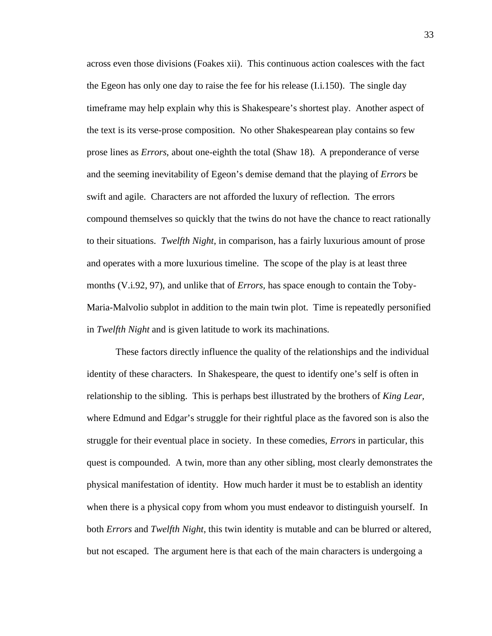across even those divisions (Foakes xii). This continuous action coalesces with the fact the Egeon has only one day to raise the fee for his release (I.i.150). The single day timeframe may help explain why this is Shakespeare's shortest play. Another aspect of the text is its verse-prose composition. No other Shakespearean play contains so few prose lines as *Errors*, about one-eighth the total (Shaw 18)*.* A preponderance of verse and the seeming inevitability of Egeon's demise demand that the playing of *Errors* be swift and agile. Characters are not afforded the luxury of reflection. The errors compound themselves so quickly that the twins do not have the chance to react rationally to their situations. *Twelfth Night*, in comparison, has a fairly luxurious amount of prose and operates with a more luxurious timeline. The scope of the play is at least three months (V.i.92, 97), and unlike that of *Errors,* has space enough to contain the Toby-Maria-Malvolio subplot in addition to the main twin plot. Time is repeatedly personified in *Twelfth Night* and is given latitude to work its machinations.

These factors directly influence the quality of the relationships and the individual identity of these characters. In Shakespeare, the quest to identify one's self is often in relationship to the sibling. This is perhaps best illustrated by the brothers of *King Lear,* where Edmund and Edgar's struggle for their rightful place as the favored son is also the struggle for their eventual place in society. In these comedies, *Errors* in particular, this quest is compounded. A twin, more than any other sibling, most clearly demonstrates the physical manifestation of identity. How much harder it must be to establish an identity when there is a physical copy from whom you must endeavor to distinguish yourself. In both *Errors* and *Twelfth Night*, this twin identity is mutable and can be blurred or altered, but not escaped. The argument here is that each of the main characters is undergoing a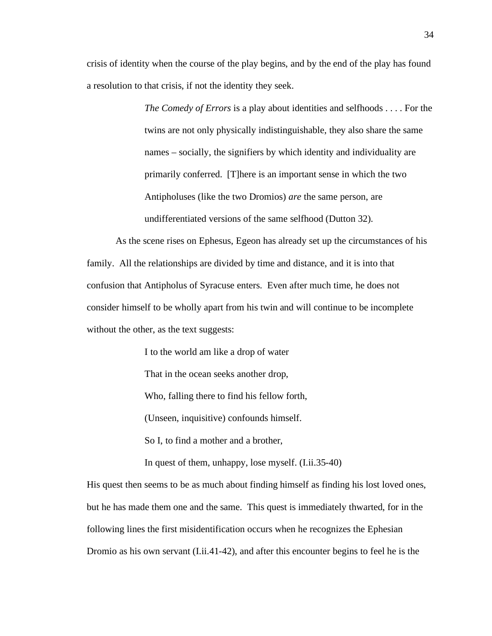crisis of identity when the course of the play begins, and by the end of the play has found a resolution to that crisis, if not the identity they seek.

> *The Comedy of Errors* is a play about identities and selfhoods . . . . For the twins are not only physically indistinguishable, they also share the same names – socially, the signifiers by which identity and individuality are primarily conferred. [T]here is an important sense in which the two Antipholuses (like the two Dromios) *are* the same person, are undifferentiated versions of the same selfhood (Dutton 32).

As the scene rises on Ephesus, Egeon has already set up the circumstances of his family. All the relationships are divided by time and distance, and it is into that confusion that Antipholus of Syracuse enters. Even after much time, he does not consider himself to be wholly apart from his twin and will continue to be incomplete without the other, as the text suggests:

> I to the world am like a drop of water That in the ocean seeks another drop, Who, falling there to find his fellow forth, (Unseen, inquisitive) confounds himself. So I, to find a mother and a brother,

In quest of them, unhappy, lose myself. (I.ii.35-40)

His quest then seems to be as much about finding himself as finding his lost loved ones, but he has made them one and the same. This quest is immediately thwarted, for in the following lines the first misidentification occurs when he recognizes the Ephesian Dromio as his own servant (I.ii.41-42), and after this encounter begins to feel he is the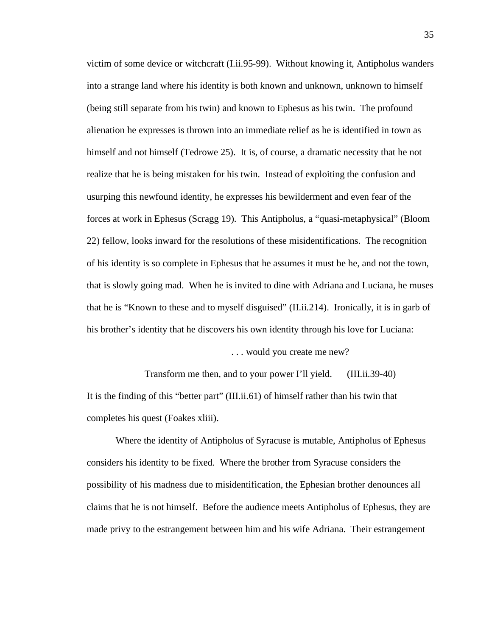victim of some device or witchcraft (I.ii.95-99). Without knowing it, Antipholus wanders into a strange land where his identity is both known and unknown, unknown to himself (being still separate from his twin) and known to Ephesus as his twin. The profound alienation he expresses is thrown into an immediate relief as he is identified in town as himself and not himself (Tedrowe 25). It is, of course, a dramatic necessity that he not realize that he is being mistaken for his twin. Instead of exploiting the confusion and usurping this newfound identity, he expresses his bewilderment and even fear of the forces at work in Ephesus (Scragg 19). This Antipholus, a "quasi-metaphysical" (Bloom 22) fellow, looks inward for the resolutions of these misidentifications. The recognition of his identity is so complete in Ephesus that he assumes it must be he, and not the town, that is slowly going mad. When he is invited to dine with Adriana and Luciana, he muses that he is "Known to these and to myself disguised" (II.ii.214). Ironically, it is in garb of his brother's identity that he discovers his own identity through his love for Luciana:

. . . would you create me new?

Transform me then, and to your power I'll yield. (III.ii.39-40) It is the finding of this "better part" (III.ii.61) of himself rather than his twin that completes his quest (Foakes xliii).

Where the identity of Antipholus of Syracuse is mutable, Antipholus of Ephesus considers his identity to be fixed. Where the brother from Syracuse considers the possibility of his madness due to misidentification, the Ephesian brother denounces all claims that he is not himself. Before the audience meets Antipholus of Ephesus, they are made privy to the estrangement between him and his wife Adriana. Their estrangement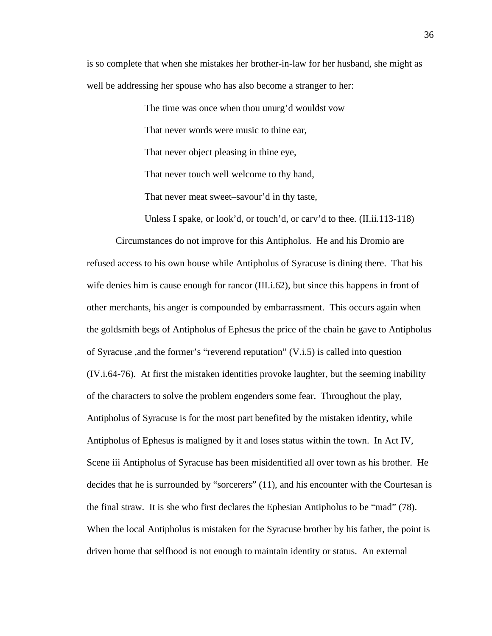is so complete that when she mistakes her brother-in-law for her husband, she might as well be addressing her spouse who has also become a stranger to her:

> The time was once when thou unurg'd wouldst vow That never words were music to thine ear, That never object pleasing in thine eye, That never touch well welcome to thy hand, That never meat sweet–savour'd in thy taste,

Unless I spake, or look'd, or touch'd, or carv'd to thee. (II.ii.113-118)

Circumstances do not improve for this Antipholus. He and his Dromio are refused access to his own house while Antipholus of Syracuse is dining there. That his wife denies him is cause enough for rancor (III.i.62), but since this happens in front of other merchants, his anger is compounded by embarrassment. This occurs again when the goldsmith begs of Antipholus of Ephesus the price of the chain he gave to Antipholus of Syracuse ,and the former's "reverend reputation" (V.i.5) is called into question (IV.i.64-76). At first the mistaken identities provoke laughter, but the seeming inability of the characters to solve the problem engenders some fear. Throughout the play, Antipholus of Syracuse is for the most part benefited by the mistaken identity, while Antipholus of Ephesus is maligned by it and loses status within the town. In Act IV, Scene iii Antipholus of Syracuse has been misidentified all over town as his brother. He decides that he is surrounded by "sorcerers" (11), and his encounter with the Courtesan is the final straw. It is she who first declares the Ephesian Antipholus to be "mad" (78). When the local Antipholus is mistaken for the Syracuse brother by his father, the point is driven home that selfhood is not enough to maintain identity or status. An external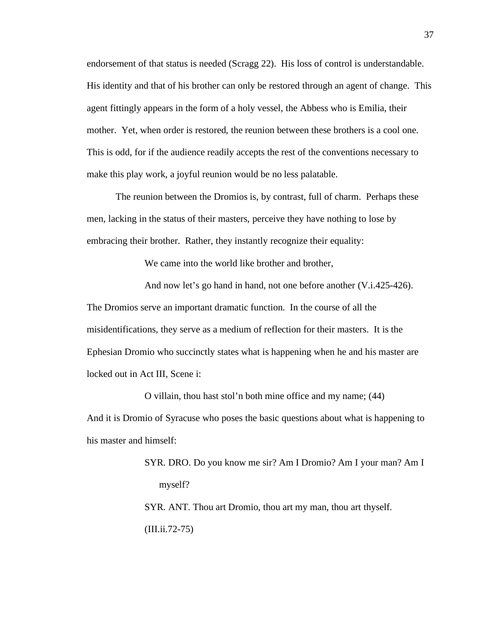endorsement of that status is needed (Scragg 22). His loss of control is understandable. His identity and that of his brother can only be restored through an agent of change. This agent fittingly appears in the form of a holy vessel, the Abbess who is Emilia, their mother. Yet, when order is restored, the reunion between these brothers is a cool one. This is odd, for if the audience readily accepts the rest of the conventions necessary to make this play work, a joyful reunion would be no less palatable.

The reunion between the Dromios is, by contrast, full of charm. Perhaps these men, lacking in the status of their masters, perceive they have nothing to lose by embracing their brother. Rather, they instantly recognize their equality:

We came into the world like brother and brother,

And now let's go hand in hand, not one before another (V.i.425-426). The Dromios serve an important dramatic function. In the course of all the misidentifications, they serve as a medium of reflection for their masters. It is the Ephesian Dromio who succinctly states what is happening when he and his master are locked out in Act III, Scene i:

O villain, thou hast stol'n both mine office and my name; (44) And it is Dromio of Syracuse who poses the basic questions about what is happening to his master and himself:

> SYR. DRO. Do you know me sir? Am I Dromio? Am I your man? Am I myself? SYR. ANT. Thou art Dromio, thou art my man, thou art thyself. (III.ii.72-75)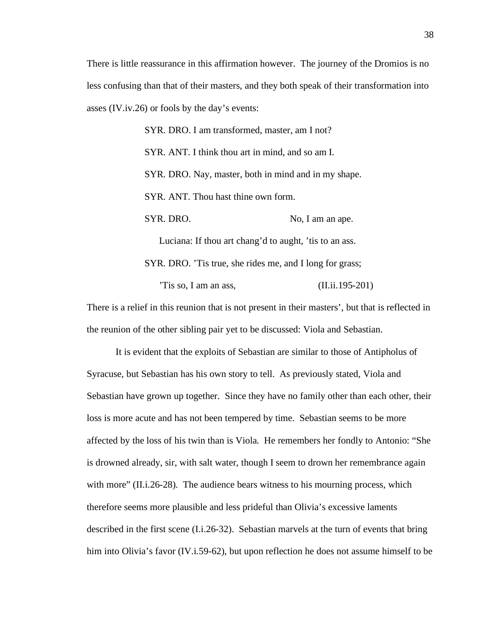There is little reassurance in this affirmation however. The journey of the Dromios is no less confusing than that of their masters, and they both speak of their transformation into asses (IV.iv.26) or fools by the day's events:

> SYR. DRO. I am transformed, master, am I not? SYR. ANT. I think thou art in mind, and so am I. SYR. DRO. Nay, master, both in mind and in my shape. SYR. ANT. Thou hast thine own form. SYR. DRO. No, I am an ape. Luciana: If thou art chang'd to aught, 'tis to an ass. SYR. DRO. 'Tis true, she rides me, and I long for grass; 'Tis so, I am an ass,  $(II.ii.195-201)$

There is a relief in this reunion that is not present in their masters', but that is reflected in the reunion of the other sibling pair yet to be discussed: Viola and Sebastian.

It is evident that the exploits of Sebastian are similar to those of Antipholus of Syracuse, but Sebastian has his own story to tell. As previously stated, Viola and Sebastian have grown up together. Since they have no family other than each other, their loss is more acute and has not been tempered by time. Sebastian seems to be more affected by the loss of his twin than is Viola. He remembers her fondly to Antonio: "She is drowned already, sir, with salt water, though I seem to drown her remembrance again with more" (II.i.26-28). The audience bears witness to his mourning process, which therefore seems more plausible and less prideful than Olivia's excessive laments described in the first scene (I.i.26-32). Sebastian marvels at the turn of events that bring him into Olivia's favor (IV.i.59-62), but upon reflection he does not assume himself to be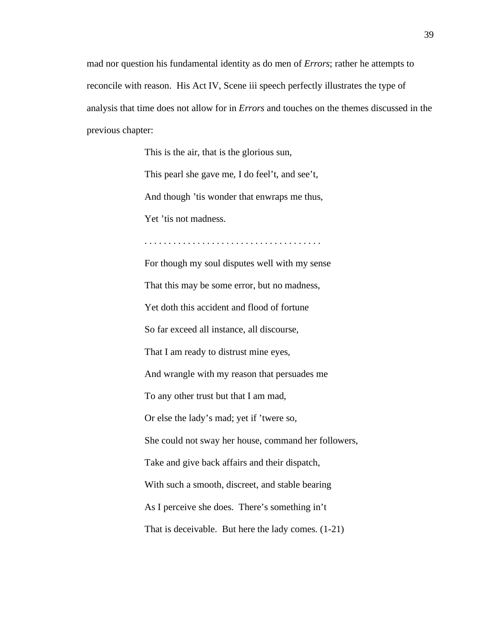mad nor question his fundamental identity as do men of *Errors*; rather he attempts to reconcile with reason. His Act IV, Scene iii speech perfectly illustrates the type of analysis that time does not allow for in *Errors* and touches on the themes discussed in the previous chapter:

This is the air, that is the glorious sun,

This pearl she gave me, I do feel't, and see't,

And though 'tis wonder that enwraps me thus,

. . . . . . . . . . . . . . . . . . . . . . . . . . . . . . . . . . . . .

Yet 'tis not madness.

For though my soul disputes well with my sense That this may be some error, but no madness, Yet doth this accident and flood of fortune So far exceed all instance, all discourse, That I am ready to distrust mine eyes, And wrangle with my reason that persuades me To any other trust but that I am mad, Or else the lady's mad; yet if 'twere so, She could not sway her house, command her followers, Take and give back affairs and their dispatch, With such a smooth, discreet, and stable bearing As I perceive she does. There's something in't That is deceivable. But here the lady comes. (1-21)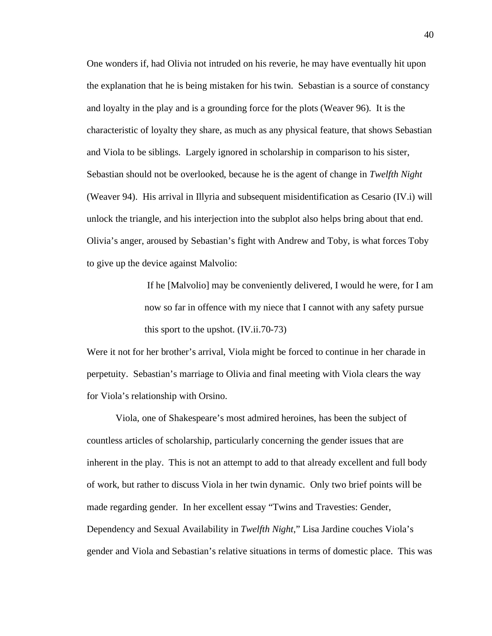One wonders if, had Olivia not intruded on his reverie, he may have eventually hit upon the explanation that he is being mistaken for his twin. Sebastian is a source of constancy and loyalty in the play and is a grounding force for the plots (Weaver 96). It is the characteristic of loyalty they share, as much as any physical feature, that shows Sebastian and Viola to be siblings. Largely ignored in scholarship in comparison to his sister, Sebastian should not be overlooked, because he is the agent of change in *Twelfth Night* (Weaver 94). His arrival in Illyria and subsequent misidentification as Cesario (IV.i) will unlock the triangle, and his interjection into the subplot also helps bring about that end. Olivia's anger, aroused by Sebastian's fight with Andrew and Toby, is what forces Toby to give up the device against Malvolio:

> If he [Malvolio] may be conveniently delivered, I would he were, for I am now so far in offence with my niece that I cannot with any safety pursue this sport to the upshot. (IV.ii.70-73)

Were it not for her brother's arrival, Viola might be forced to continue in her charade in perpetuity. Sebastian's marriage to Olivia and final meeting with Viola clears the way for Viola's relationship with Orsino.

Viola, one of Shakespeare's most admired heroines, has been the subject of countless articles of scholarship, particularly concerning the gender issues that are inherent in the play. This is not an attempt to add to that already excellent and full body of work, but rather to discuss Viola in her twin dynamic. Only two brief points will be made regarding gender. In her excellent essay "Twins and Travesties: Gender, Dependency and Sexual Availability in *Twelfth Night*," Lisa Jardine couches Viola's gender and Viola and Sebastian's relative situations in terms of domestic place. This was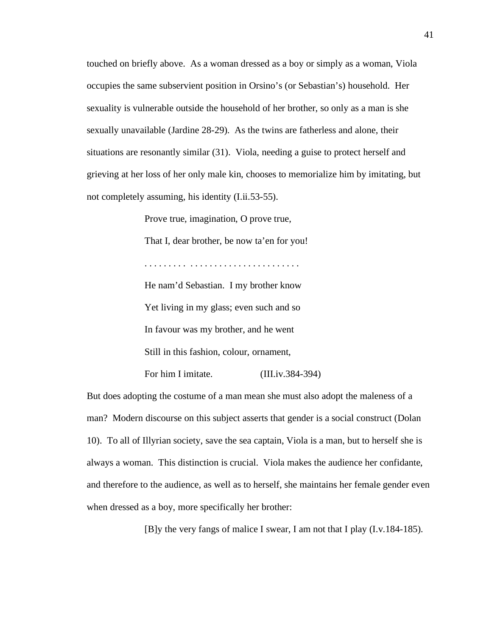touched on briefly above. As a woman dressed as a boy or simply as a woman, Viola occupies the same subservient position in Orsino's (or Sebastian's) household. Her sexuality is vulnerable outside the household of her brother, so only as a man is she sexually unavailable (Jardine 28-29). As the twins are fatherless and alone, their situations are resonantly similar (31). Viola, needing a guise to protect herself and grieving at her loss of her only male kin, chooses to memorialize him by imitating, but not completely assuming, his identity (I.ii.53-55).

> Prove true, imagination, O prove true, That I, dear brother, be now ta'en for you! . . . . . . . . . . . . . . . . . . . . . . . . . . . . . . . . He nam'd Sebastian. I my brother know Yet living in my glass; even such and so In favour was my brother, and he went Still in this fashion, colour, ornament, For him I imitate. (III.iv.384-394)

But does adopting the costume of a man mean she must also adopt the maleness of a man? Modern discourse on this subject asserts that gender is a social construct (Dolan 10). To all of Illyrian society, save the sea captain, Viola is a man, but to herself she is always a woman. This distinction is crucial. Viola makes the audience her confidante, and therefore to the audience, as well as to herself, she maintains her female gender even when dressed as a boy, more specifically her brother:

[B]y the very fangs of malice I swear, I am not that I play (I.v.184-185).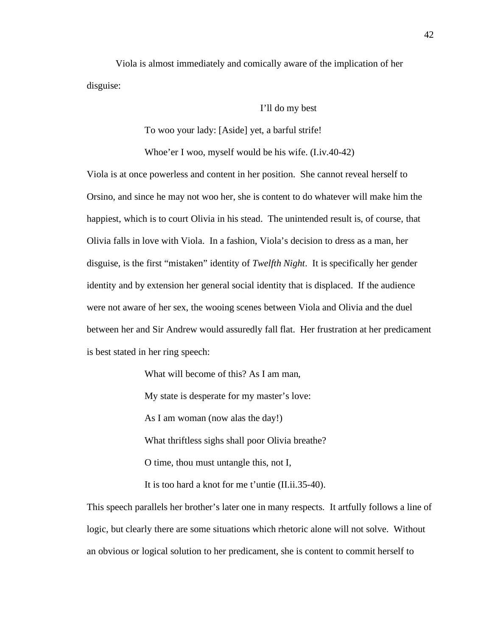Viola is almost immediately and comically aware of the implication of her disguise:

I'll do my best

To woo your lady: [Aside] yet, a barful strife!

Whoe'er I woo, myself would be his wife. (I.iv.40-42)

Viola is at once powerless and content in her position. She cannot reveal herself to Orsino, and since he may not woo her, she is content to do whatever will make him the happiest, which is to court Olivia in his stead. The unintended result is, of course, that Olivia falls in love with Viola. In a fashion, Viola's decision to dress as a man, her disguise, is the first "mistaken" identity of *Twelfth Night*. It is specifically her gender identity and by extension her general social identity that is displaced. If the audience were not aware of her sex, the wooing scenes between Viola and Olivia and the duel between her and Sir Andrew would assuredly fall flat. Her frustration at her predicament is best stated in her ring speech:

What will become of this? As I am man,

My state is desperate for my master's love:

As I am woman (now alas the day!)

What thriftless sighs shall poor Olivia breathe?

O time, thou must untangle this, not I,

It is too hard a knot for me t'untie (II.ii.35-40).

This speech parallels her brother's later one in many respects. It artfully follows a line of logic, but clearly there are some situations which rhetoric alone will not solve. Without an obvious or logical solution to her predicament, she is content to commit herself to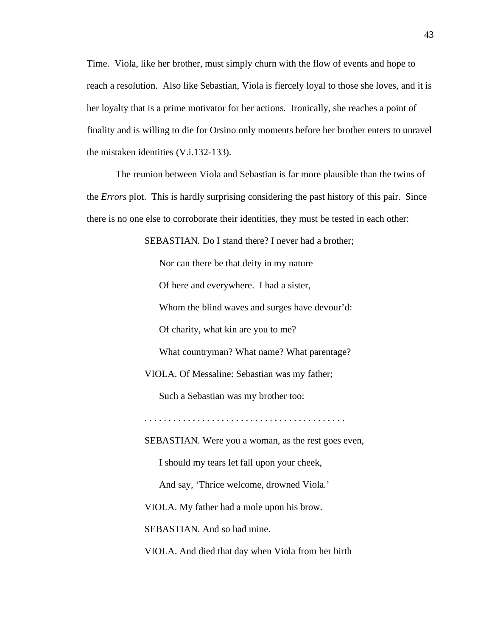Time. Viola, like her brother, must simply churn with the flow of events and hope to reach a resolution. Also like Sebastian, Viola is fiercely loyal to those she loves, and it is her loyalty that is a prime motivator for her actions. Ironically, she reaches a point of finality and is willing to die for Orsino only moments before her brother enters to unravel the mistaken identities (V.i.132-133).

The reunion between Viola and Sebastian is far more plausible than the twins of the *Errors* plot. This is hardly surprising considering the past history of this pair. Since there is no one else to corroborate their identities, they must be tested in each other:

SEBASTIAN. Do I stand there? I never had a brother;

Nor can there be that deity in my nature Of here and everywhere. I had a sister, Whom the blind waves and surges have devour'd: Of charity, what kin are you to me? What countryman? What name? What parentage? VIOLA. Of Messaline: Sebastian was my father; Such a Sebastian was my brother too: . . . . . . . . . . . . . . . . . . . . . . . . . . . . . . . . . . . . . . . . . . SEBASTIAN. Were you a woman, as the rest goes even, I should my tears let fall upon your cheek, And say, 'Thrice welcome, drowned Viola.' VIOLA. My father had a mole upon his brow. SEBASTIAN. And so had mine.

VIOLA. And died that day when Viola from her birth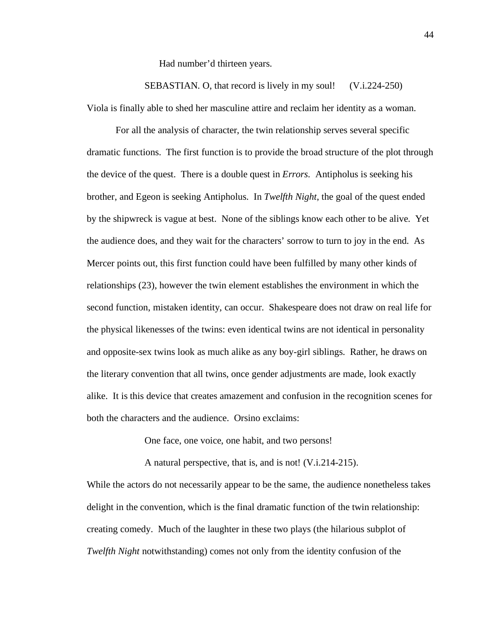Had number'd thirteen years.

SEBASTIAN. O, that record is lively in my soul! (V.i.224-250) Viola is finally able to shed her masculine attire and reclaim her identity as a woman.

For all the analysis of character, the twin relationship serves several specific dramatic functions. The first function is to provide the broad structure of the plot through the device of the quest. There is a double quest in *Errors*. Antipholus is seeking his brother, and Egeon is seeking Antipholus. In *Twelfth Night*, the goal of the quest ended by the shipwreck is vague at best. None of the siblings know each other to be alive. Yet the audience does, and they wait for the characters' sorrow to turn to joy in the end. As Mercer points out, this first function could have been fulfilled by many other kinds of relationships (23), however the twin element establishes the environment in which the second function, mistaken identity, can occur. Shakespeare does not draw on real life for the physical likenesses of the twins: even identical twins are not identical in personality and opposite-sex twins look as much alike as any boy-girl siblings. Rather, he draws on the literary convention that all twins, once gender adjustments are made, look exactly alike. It is this device that creates amazement and confusion in the recognition scenes for both the characters and the audience. Orsino exclaims:

One face, one voice, one habit, and two persons!

A natural perspective, that is, and is not! (V.i.214-215).

While the actors do not necessarily appear to be the same, the audience nonetheless takes delight in the convention, which is the final dramatic function of the twin relationship: creating comedy. Much of the laughter in these two plays (the hilarious subplot of *Twelfth Night* notwithstanding) comes not only from the identity confusion of the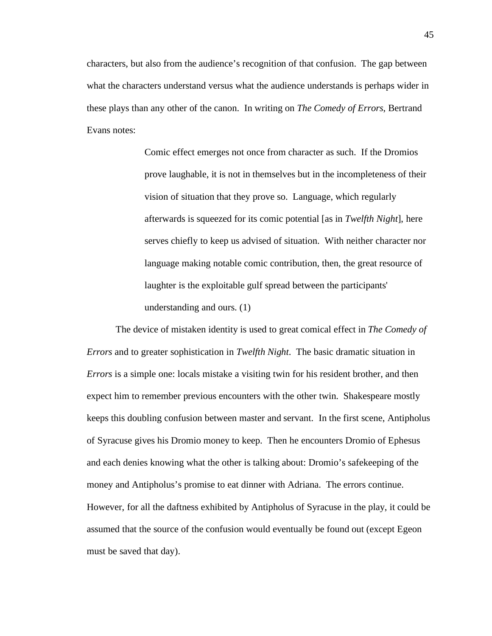characters, but also from the audience's recognition of that confusion. The gap between what the characters understand versus what the audience understands is perhaps wider in these plays than any other of the canon. In writing on *The Comedy of Errors*, Bertrand Evans notes:

> Comic effect emerges not once from character as such. If the Dromios prove laughable, it is not in themselves but in the incompleteness of their vision of situation that they prove so. Language, which regularly afterwards is squeezed for its comic potential [as in *Twelfth Night*], here serves chiefly to keep us advised of situation. With neither character nor language making notable comic contribution, then, the great resource of laughter is the exploitable gulf spread between the participants' understanding and ours. (1)

The device of mistaken identity is used to great comical effect in *The Comedy of Errors* and to greater sophistication in *Twelfth Night*. The basic dramatic situation in *Errors* is a simple one: locals mistake a visiting twin for his resident brother, and then expect him to remember previous encounters with the other twin. Shakespeare mostly keeps this doubling confusion between master and servant. In the first scene, Antipholus of Syracuse gives his Dromio money to keep. Then he encounters Dromio of Ephesus and each denies knowing what the other is talking about: Dromio's safekeeping of the money and Antipholus's promise to eat dinner with Adriana. The errors continue. However, for all the daftness exhibited by Antipholus of Syracuse in the play, it could be assumed that the source of the confusion would eventually be found out (except Egeon must be saved that day).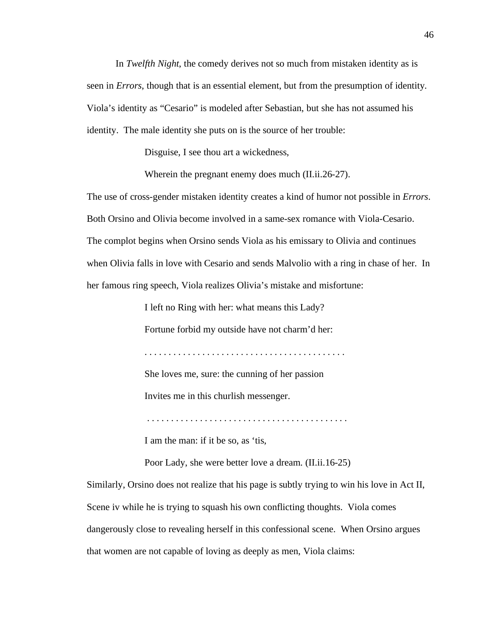In *Twelfth Night*, the comedy derives not so much from mistaken identity as is seen in *Errors*, though that is an essential element, but from the presumption of identity. Viola's identity as "Cesario" is modeled after Sebastian, but she has not assumed his identity. The male identity she puts on is the source of her trouble:

Disguise, I see thou art a wickedness,

Wherein the pregnant enemy does much (II.ii.26-27).

The use of cross-gender mistaken identity creates a kind of humor not possible in *Errors*. Both Orsino and Olivia become involved in a same-sex romance with Viola-Cesario. The complot begins when Orsino sends Viola as his emissary to Olivia and continues when Olivia falls in love with Cesario and sends Malvolio with a ring in chase of her. In her famous ring speech, Viola realizes Olivia's mistake and misfortune:

I left no Ring with her: what means this Lady?

Fortune forbid my outside have not charm'd her:

. . . . . . . . . . . . . . . . . . . . . . . . . . . . . . . . . . . . . . . . . .

She loves me, sure: the cunning of her passion

Invites me in this churlish messenger.

. . . . . . . . . . . . . . . . . . . . . . . . . . . . . . . . . . . . . . . . . .

I am the man: if it be so, as 'tis,

Poor Lady, she were better love a dream. (II.ii.16-25)

Similarly, Orsino does not realize that his page is subtly trying to win his love in Act II, Scene iv while he is trying to squash his own conflicting thoughts. Viola comes dangerously close to revealing herself in this confessional scene. When Orsino argues that women are not capable of loving as deeply as men, Viola claims: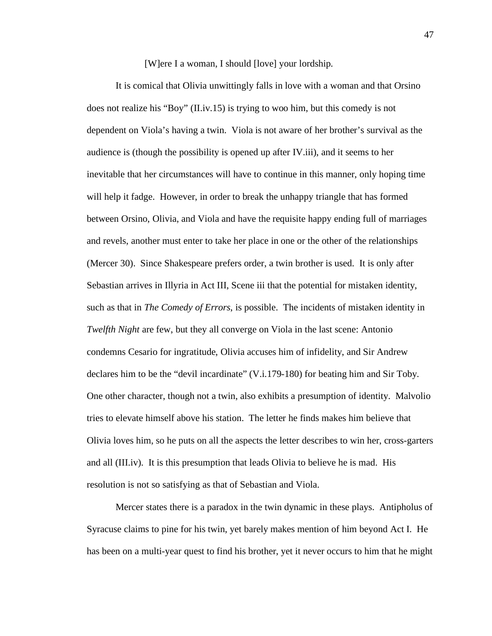[W]ere I a woman, I should [love] your lordship.

It is comical that Olivia unwittingly falls in love with a woman and that Orsino does not realize his "Boy" (II.iv.15) is trying to woo him, but this comedy is not dependent on Viola's having a twin. Viola is not aware of her brother's survival as the audience is (though the possibility is opened up after IV.iii), and it seems to her inevitable that her circumstances will have to continue in this manner, only hoping time will help it fadge. However, in order to break the unhappy triangle that has formed between Orsino, Olivia, and Viola and have the requisite happy ending full of marriages and revels, another must enter to take her place in one or the other of the relationships (Mercer 30). Since Shakespeare prefers order, a twin brother is used. It is only after Sebastian arrives in Illyria in Act III, Scene iii that the potential for mistaken identity, such as that in *The Comedy of Errors*, is possible. The incidents of mistaken identity in *Twelfth Night* are few, but they all converge on Viola in the last scene: Antonio condemns Cesario for ingratitude, Olivia accuses him of infidelity, and Sir Andrew declares him to be the "devil incardinate" (V.i.179-180) for beating him and Sir Toby. One other character, though not a twin, also exhibits a presumption of identity. Malvolio tries to elevate himself above his station. The letter he finds makes him believe that Olivia loves him, so he puts on all the aspects the letter describes to win her, cross-garters and all (III.iv). It is this presumption that leads Olivia to believe he is mad. His resolution is not so satisfying as that of Sebastian and Viola.

Mercer states there is a paradox in the twin dynamic in these plays. Antipholus of Syracuse claims to pine for his twin, yet barely makes mention of him beyond Act I. He has been on a multi-year quest to find his brother, yet it never occurs to him that he might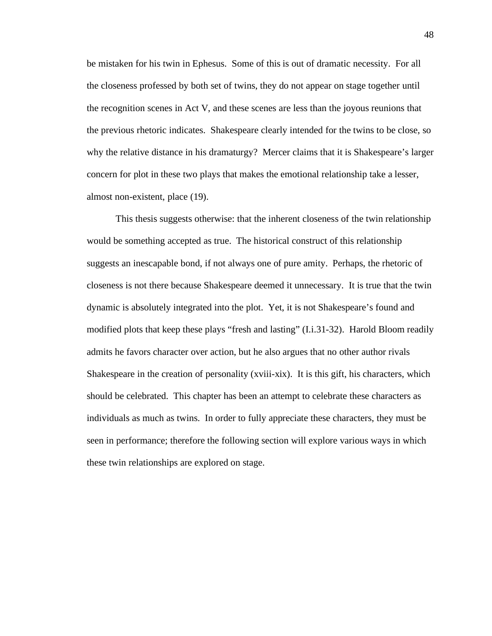be mistaken for his twin in Ephesus. Some of this is out of dramatic necessity. For all the closeness professed by both set of twins, they do not appear on stage together until the recognition scenes in Act V, and these scenes are less than the joyous reunions that the previous rhetoric indicates. Shakespeare clearly intended for the twins to be close, so why the relative distance in his dramaturgy? Mercer claims that it is Shakespeare's larger concern for plot in these two plays that makes the emotional relationship take a lesser, almost non-existent, place (19).

This thesis suggests otherwise: that the inherent closeness of the twin relationship would be something accepted as true. The historical construct of this relationship suggests an inescapable bond, if not always one of pure amity. Perhaps, the rhetoric of closeness is not there because Shakespeare deemed it unnecessary. It is true that the twin dynamic is absolutely integrated into the plot. Yet, it is not Shakespeare's found and modified plots that keep these plays "fresh and lasting" (I.i.31-32). Harold Bloom readily admits he favors character over action, but he also argues that no other author rivals Shakespeare in the creation of personality (xviii-xix). It is this gift, his characters, which should be celebrated. This chapter has been an attempt to celebrate these characters as individuals as much as twins. In order to fully appreciate these characters, they must be seen in performance; therefore the following section will explore various ways in which these twin relationships are explored on stage.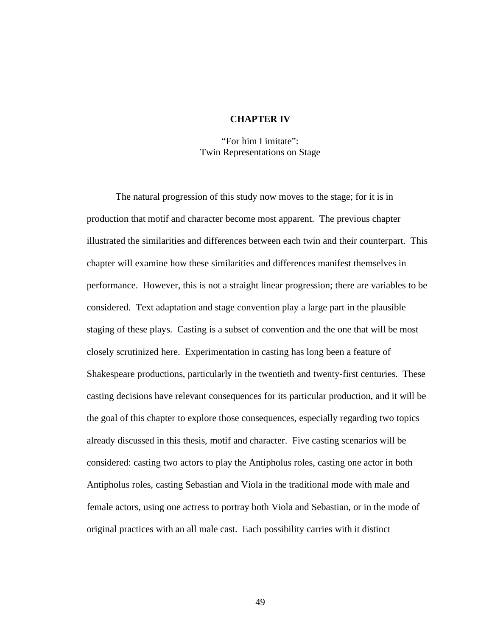## **CHAPTER IV**

"For him I imitate": Twin Representations on Stage

The natural progression of this study now moves to the stage; for it is in production that motif and character become most apparent. The previous chapter illustrated the similarities and differences between each twin and their counterpart. This chapter will examine how these similarities and differences manifest themselves in performance. However, this is not a straight linear progression; there are variables to be considered. Text adaptation and stage convention play a large part in the plausible staging of these plays. Casting is a subset of convention and the one that will be most closely scrutinized here. Experimentation in casting has long been a feature of Shakespeare productions, particularly in the twentieth and twenty-first centuries. These casting decisions have relevant consequences for its particular production, and it will be the goal of this chapter to explore those consequences, especially regarding two topics already discussed in this thesis, motif and character. Five casting scenarios will be considered: casting two actors to play the Antipholus roles, casting one actor in both Antipholus roles, casting Sebastian and Viola in the traditional mode with male and female actors, using one actress to portray both Viola and Sebastian, or in the mode of original practices with an all male cast. Each possibility carries with it distinct

49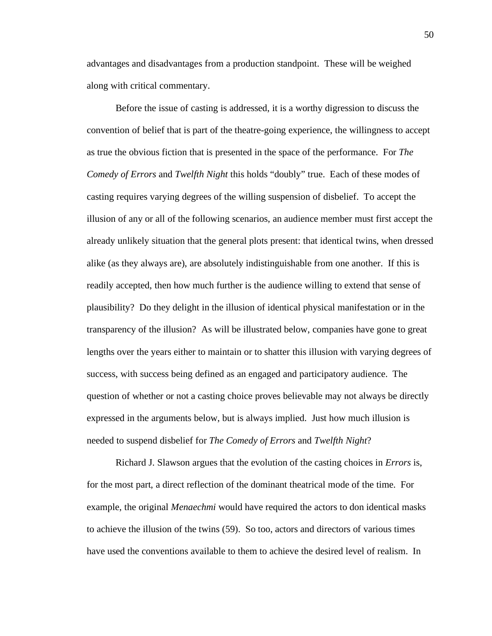advantages and disadvantages from a production standpoint. These will be weighed along with critical commentary.

Before the issue of casting is addressed, it is a worthy digression to discuss the convention of belief that is part of the theatre-going experience, the willingness to accept as true the obvious fiction that is presented in the space of the performance. For *The Comedy of Errors* and *Twelfth Night* this holds "doubly" true. Each of these modes of casting requires varying degrees of the willing suspension of disbelief. To accept the illusion of any or all of the following scenarios, an audience member must first accept the already unlikely situation that the general plots present: that identical twins, when dressed alike (as they always are), are absolutely indistinguishable from one another. If this is readily accepted, then how much further is the audience willing to extend that sense of plausibility? Do they delight in the illusion of identical physical manifestation or in the transparency of the illusion? As will be illustrated below, companies have gone to great lengths over the years either to maintain or to shatter this illusion with varying degrees of success, with success being defined as an engaged and participatory audience. The question of whether or not a casting choice proves believable may not always be directly expressed in the arguments below, but is always implied. Just how much illusion is needed to suspend disbelief for *The Comedy of Errors* and *Twelfth Night*?

Richard J. Slawson argues that the evolution of the casting choices in *Errors* is, for the most part, a direct reflection of the dominant theatrical mode of the time. For example, the original *Menaechmi* would have required the actors to don identical masks to achieve the illusion of the twins (59). So too, actors and directors of various times have used the conventions available to them to achieve the desired level of realism. In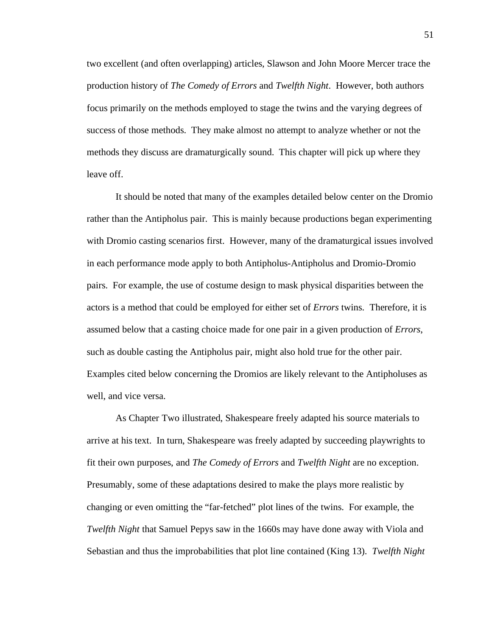two excellent (and often overlapping) articles, Slawson and John Moore Mercer trace the production history of *The Comedy of Errors* and *Twelfth Night*. However, both authors focus primarily on the methods employed to stage the twins and the varying degrees of success of those methods. They make almost no attempt to analyze whether or not the methods they discuss are dramaturgically sound. This chapter will pick up where they leave off.

It should be noted that many of the examples detailed below center on the Dromio rather than the Antipholus pair. This is mainly because productions began experimenting with Dromio casting scenarios first. However, many of the dramaturgical issues involved in each performance mode apply to both Antipholus-Antipholus and Dromio-Dromio pairs. For example, the use of costume design to mask physical disparities between the actors is a method that could be employed for either set of *Errors* twins. Therefore, it is assumed below that a casting choice made for one pair in a given production of *Errors*, such as double casting the Antipholus pair, might also hold true for the other pair. Examples cited below concerning the Dromios are likely relevant to the Antipholuses as well, and vice versa.

As Chapter Two illustrated, Shakespeare freely adapted his source materials to arrive at his text. In turn, Shakespeare was freely adapted by succeeding playwrights to fit their own purposes, and *The Comedy of Errors* and *Twelfth Night* are no exception. Presumably, some of these adaptations desired to make the plays more realistic by changing or even omitting the "far-fetched" plot lines of the twins. For example, the *Twelfth Night* that Samuel Pepys saw in the 1660s may have done away with Viola and Sebastian and thus the improbabilities that plot line contained (King 13). *Twelfth Night*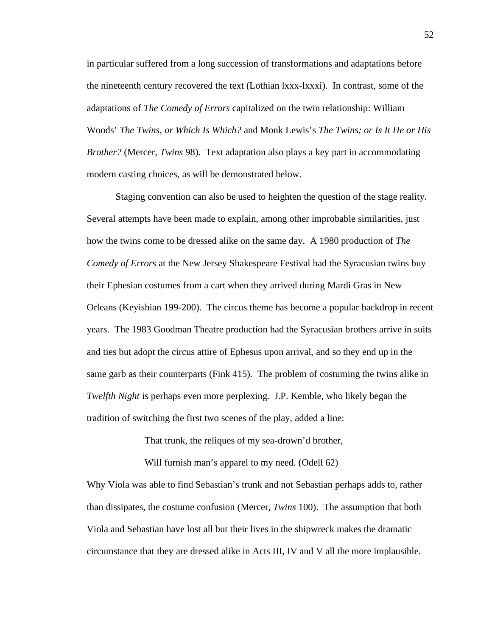in particular suffered from a long succession of transformations and adaptations before the nineteenth century recovered the text (Lothian lxxx-lxxxi). In contrast, some of the adaptations of *The Comedy of Errors* capitalized on the twin relationship: William Woods' *The Twins, or Which Is Which?* and Monk Lewis's *The Twins; or Is It He or His Brother?* (Mercer, *Twins* 98). Text adaptation also plays a key part in accommodating modern casting choices, as will be demonstrated below.

Staging convention can also be used to heighten the question of the stage reality. Several attempts have been made to explain, among other improbable similarities, just how the twins come to be dressed alike on the same day. A 1980 production of *The Comedy of Errors* at the New Jersey Shakespeare Festival had the Syracusian twins buy their Ephesian costumes from a cart when they arrived during Mardi Gras in New Orleans (Keyishian 199-200). The circus theme has become a popular backdrop in recent years. The 1983 Goodman Theatre production had the Syracusian brothers arrive in suits and ties but adopt the circus attire of Ephesus upon arrival, and so they end up in the same garb as their counterparts (Fink 415). The problem of costuming the twins alike in *Twelfth Night* is perhaps even more perplexing. J.P. Kemble, who likely began the tradition of switching the first two scenes of the play, added a line:

That trunk, the reliques of my sea-drown'd brother,

Will furnish man's apparel to my need. (Odell 62)

Why Viola was able to find Sebastian's trunk and not Sebastian perhaps adds to, rather than dissipates, the costume confusion (Mercer, *Twins* 100). The assumption that both Viola and Sebastian have lost all but their lives in the shipwreck makes the dramatic circumstance that they are dressed alike in Acts III, IV and V all the more implausible.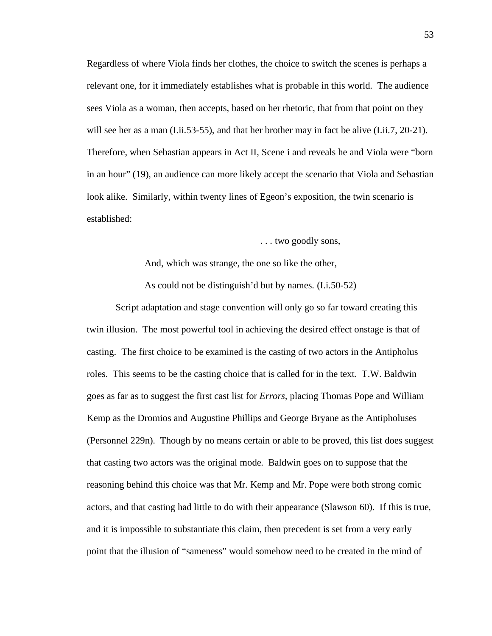Regardless of where Viola finds her clothes, the choice to switch the scenes is perhaps a relevant one, for it immediately establishes what is probable in this world. The audience sees Viola as a woman, then accepts, based on her rhetoric, that from that point on they will see her as a man (I.ii.53-55), and that her brother may in fact be alive (I.ii.7, 20-21). Therefore, when Sebastian appears in Act II, Scene i and reveals he and Viola were "born in an hour" (19), an audience can more likely accept the scenario that Viola and Sebastian look alike. Similarly, within twenty lines of Egeon's exposition, the twin scenario is established:

. . . two goodly sons,

And, which was strange, the one so like the other, As could not be distinguish'd but by names. (I.i.50-52)

Script adaptation and stage convention will only go so far toward creating this twin illusion. The most powerful tool in achieving the desired effect onstage is that of casting. The first choice to be examined is the casting of two actors in the Antipholus roles. This seems to be the casting choice that is called for in the text. T.W. Baldwin goes as far as to suggest the first cast list for *Errors,* placing Thomas Pope and William Kemp as the Dromios and Augustine Phillips and George Bryane as the Antipholuses (Personnel 229n). Though by no means certain or able to be proved, this list does suggest that casting two actors was the original mode. Baldwin goes on to suppose that the reasoning behind this choice was that Mr. Kemp and Mr. Pope were both strong comic actors, and that casting had little to do with their appearance (Slawson 60). If this is true, and it is impossible to substantiate this claim, then precedent is set from a very early point that the illusion of "sameness" would somehow need to be created in the mind of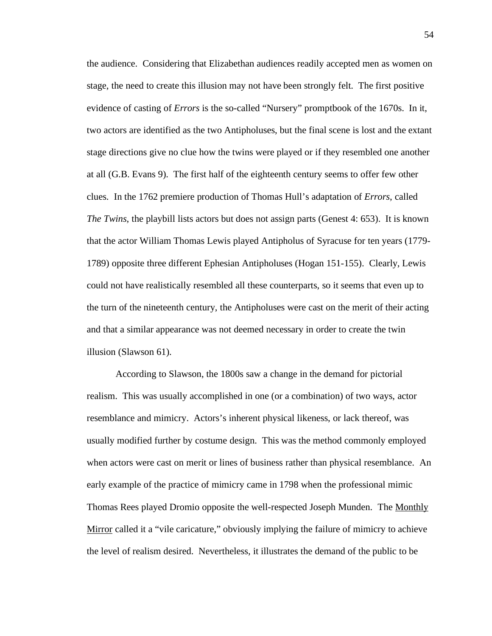the audience. Considering that Elizabethan audiences readily accepted men as women on stage, the need to create this illusion may not have been strongly felt. The first positive evidence of casting of *Errors* is the so-called "Nursery" promptbook of the 1670s. In it, two actors are identified as the two Antipholuses, but the final scene is lost and the extant stage directions give no clue how the twins were played or if they resembled one another at all (G.B. Evans 9). The first half of the eighteenth century seems to offer few other clues. In the 1762 premiere production of Thomas Hull's adaptation of *Errors*, called *The Twins*, the playbill lists actors but does not assign parts (Genest 4: 653). It is known that the actor William Thomas Lewis played Antipholus of Syracuse for ten years (1779- 1789) opposite three different Ephesian Antipholuses (Hogan 151-155). Clearly, Lewis could not have realistically resembled all these counterparts, so it seems that even up to the turn of the nineteenth century, the Antipholuses were cast on the merit of their acting and that a similar appearance was not deemed necessary in order to create the twin illusion (Slawson 61).

According to Slawson, the 1800s saw a change in the demand for pictorial realism. This was usually accomplished in one (or a combination) of two ways, actor resemblance and mimicry. Actors's inherent physical likeness, or lack thereof, was usually modified further by costume design. This was the method commonly employed when actors were cast on merit or lines of business rather than physical resemblance. An early example of the practice of mimicry came in 1798 when the professional mimic Thomas Rees played Dromio opposite the well-respected Joseph Munden. The Monthly Mirror called it a "vile caricature," obviously implying the failure of mimicry to achieve the level of realism desired. Nevertheless, it illustrates the demand of the public to be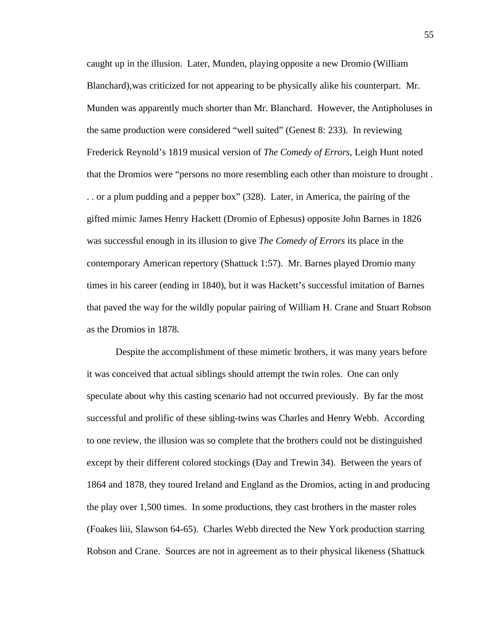caught up in the illusion. Later, Munden, playing opposite a new Dromio (William Blanchard),was criticized for not appearing to be physically alike his counterpart. Mr. Munden was apparently much shorter than Mr. Blanchard. However, the Antipholuses in the same production were considered "well suited" (Genest 8: 233). In reviewing Frederick Reynold's 1819 musical version of *The Comedy of Errors*, Leigh Hunt noted that the Dromios were "persons no more resembling each other than moisture to drought . . . or a plum pudding and a pepper box" (328). Later, in America, the pairing of the gifted mimic James Henry Hackett (Dromio of Ephesus) opposite John Barnes in 1826 was successful enough in its illusion to give *The Comedy of Errors* its place in the contemporary American repertory (Shattuck 1:57). Mr. Barnes played Dromio many times in his career (ending in 1840), but it was Hackett's successful imitation of Barnes that paved the way for the wildly popular pairing of William H. Crane and Stuart Robson as the Dromios in 1878.

Despite the accomplishment of these mimetic brothers, it was many years before it was conceived that actual siblings should attempt the twin roles. One can only speculate about why this casting scenario had not occurred previously. By far the most successful and prolific of these sibling-twins was Charles and Henry Webb. According to one review, the illusion was so complete that the brothers could not be distinguished except by their different colored stockings (Day and Trewin 34). Between the years of 1864 and 1878, they toured Ireland and England as the Dromios, acting in and producing the play over 1,500 times. In some productions, they cast brothers in the master roles (Foakes liii, Slawson 64-65). Charles Webb directed the New York production starring Robson and Crane. Sources are not in agreement as to their physical likeness (Shattuck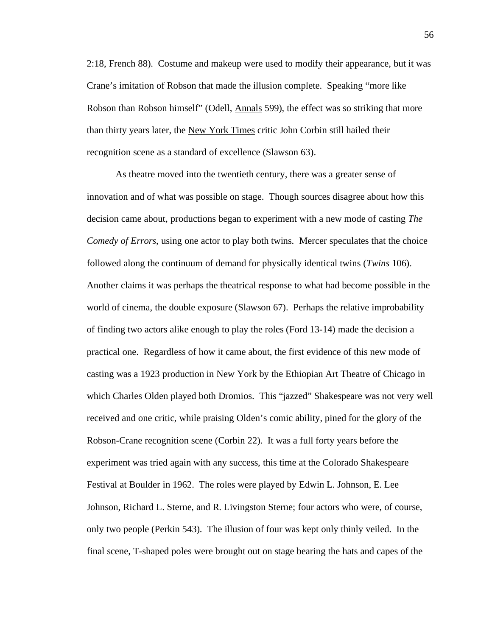2:18, French 88). Costume and makeup were used to modify their appearance, but it was Crane's imitation of Robson that made the illusion complete. Speaking "more like Robson than Robson himself" (Odell, Annals 599), the effect was so striking that more than thirty years later, the New York Times critic John Corbin still hailed their recognition scene as a standard of excellence (Slawson 63).

As theatre moved into the twentieth century, there was a greater sense of innovation and of what was possible on stage. Though sources disagree about how this decision came about, productions began to experiment with a new mode of casting *The Comedy of Errors*, using one actor to play both twins. Mercer speculates that the choice followed along the continuum of demand for physically identical twins (*Twins* 106). Another claims it was perhaps the theatrical response to what had become possible in the world of cinema, the double exposure (Slawson 67). Perhaps the relative improbability of finding two actors alike enough to play the roles (Ford 13-14) made the decision a practical one. Regardless of how it came about, the first evidence of this new mode of casting was a 1923 production in New York by the Ethiopian Art Theatre of Chicago in which Charles Olden played both Dromios. This "jazzed" Shakespeare was not very well received and one critic, while praising Olden's comic ability, pined for the glory of the Robson-Crane recognition scene (Corbin 22). It was a full forty years before the experiment was tried again with any success, this time at the Colorado Shakespeare Festival at Boulder in 1962. The roles were played by Edwin L. Johnson, E. Lee Johnson, Richard L. Sterne, and R. Livingston Sterne; four actors who were, of course, only two people (Perkin 543). The illusion of four was kept only thinly veiled. In the final scene, T-shaped poles were brought out on stage bearing the hats and capes of the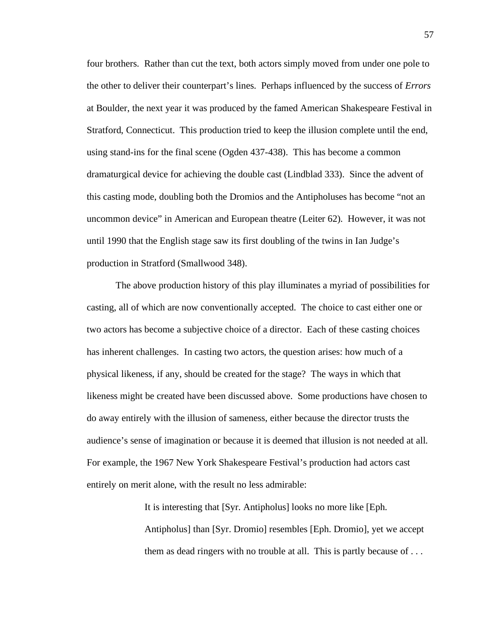four brothers. Rather than cut the text, both actors simply moved from under one pole to the other to deliver their counterpart's lines. Perhaps influenced by the success of *Errors* at Boulder, the next year it was produced by the famed American Shakespeare Festival in Stratford, Connecticut. This production tried to keep the illusion complete until the end, using stand-ins for the final scene (Ogden 437-438). This has become a common dramaturgical device for achieving the double cast (Lindblad 333). Since the advent of this casting mode, doubling both the Dromios and the Antipholuses has become "not an uncommon device" in American and European theatre (Leiter 62). However, it was not until 1990 that the English stage saw its first doubling of the twins in Ian Judge's production in Stratford (Smallwood 348).

The above production history of this play illuminates a myriad of possibilities for casting, all of which are now conventionally accepted. The choice to cast either one or two actors has become a subjective choice of a director. Each of these casting choices has inherent challenges. In casting two actors, the question arises: how much of a physical likeness, if any, should be created for the stage? The ways in which that likeness might be created have been discussed above. Some productions have chosen to do away entirely with the illusion of sameness, either because the director trusts the audience's sense of imagination or because it is deemed that illusion is not needed at all. For example, the 1967 New York Shakespeare Festival's production had actors cast entirely on merit alone, with the result no less admirable:

It is interesting that [Syr. Antipholus] looks no more like [Eph.

Antipholus] than [Syr. Dromio] resembles [Eph. Dromio], yet we accept them as dead ringers with no trouble at all. This is partly because of . . .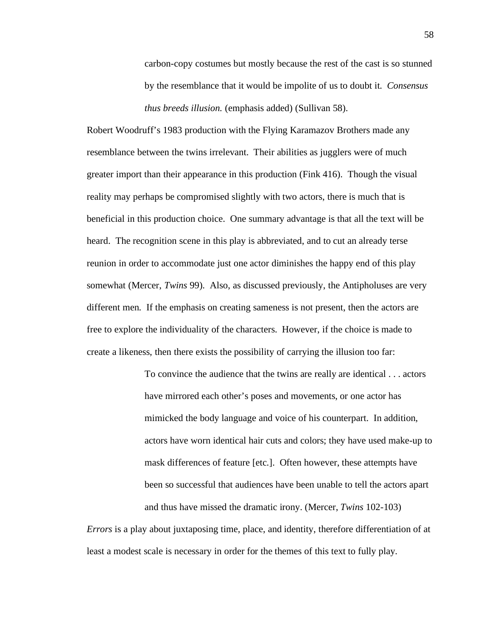carbon-copy costumes but mostly because the rest of the cast is so stunned by the resemblance that it would be impolite of us to doubt it. *Consensus thus breeds illusion.* (emphasis added) (Sullivan 58).

Robert Woodruff's 1983 production with the Flying Karamazov Brothers made any resemblance between the twins irrelevant. Their abilities as jugglers were of much greater import than their appearance in this production (Fink 416). Though the visual reality may perhaps be compromised slightly with two actors, there is much that is beneficial in this production choice. One summary advantage is that all the text will be heard. The recognition scene in this play is abbreviated, and to cut an already terse reunion in order to accommodate just one actor diminishes the happy end of this play somewhat (Mercer, *Twins* 99). Also, as discussed previously, the Antipholuses are very different men. If the emphasis on creating sameness is not present, then the actors are free to explore the individuality of the characters. However, if the choice is made to create a likeness, then there exists the possibility of carrying the illusion too far:

> To convince the audience that the twins are really are identical . . . actors have mirrored each other's poses and movements, or one actor has mimicked the body language and voice of his counterpart. In addition, actors have worn identical hair cuts and colors; they have used make-up to mask differences of feature [etc.]. Often however, these attempts have been so successful that audiences have been unable to tell the actors apart and thus have missed the dramatic irony. (Mercer, *Twins* 102-103)

*Errors* is a play about juxtaposing time, place, and identity, therefore differentiation of at least a modest scale is necessary in order for the themes of this text to fully play.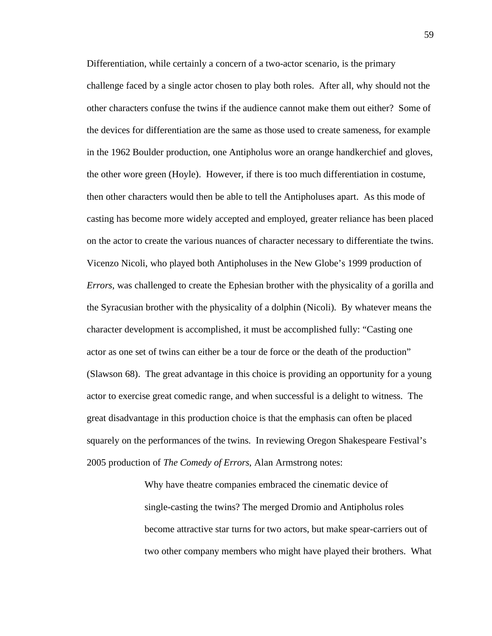Differentiation, while certainly a concern of a two-actor scenario, is the primary challenge faced by a single actor chosen to play both roles. After all, why should not the other characters confuse the twins if the audience cannot make them out either? Some of the devices for differentiation are the same as those used to create sameness, for example in the 1962 Boulder production, one Antipholus wore an orange handkerchief and gloves, the other wore green (Hoyle). However, if there is too much differentiation in costume, then other characters would then be able to tell the Antipholuses apart. As this mode of casting has become more widely accepted and employed, greater reliance has been placed on the actor to create the various nuances of character necessary to differentiate the twins. Vicenzo Nicoli, who played both Antipholuses in the New Globe's 1999 production of *Errors,* was challenged to create the Ephesian brother with the physicality of a gorilla and the Syracusian brother with the physicality of a dolphin (Nicoli). By whatever means the character development is accomplished, it must be accomplished fully: "Casting one actor as one set of twins can either be a tour de force or the death of the production" (Slawson 68). The great advantage in this choice is providing an opportunity for a young actor to exercise great comedic range, and when successful is a delight to witness. The great disadvantage in this production choice is that the emphasis can often be placed squarely on the performances of the twins. In reviewing Oregon Shakespeare Festival's 2005 production of *The Comedy of Errors*, Alan Armstrong notes:

> Why have theatre companies embraced the cinematic device of single-casting the twins? The merged Dromio and Antipholus roles become attractive star turns for two actors, but make spear-carriers out of two other company members who might have played their brothers. What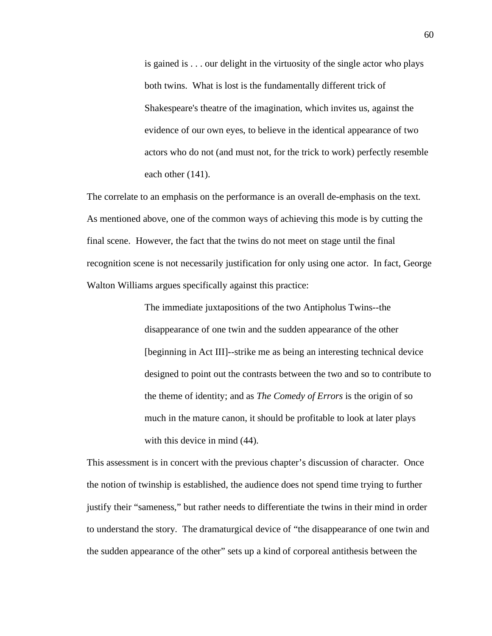is gained is . . . our delight in the virtuosity of the single actor who plays both twins. What is lost is the fundamentally different trick of Shakespeare's theatre of the imagination, which invites us, against the evidence of our own eyes, to believe in the identical appearance of two actors who do not (and must not, for the trick to work) perfectly resemble each other (141).

The correlate to an emphasis on the performance is an overall de-emphasis on the text. As mentioned above, one of the common ways of achieving this mode is by cutting the final scene. However, the fact that the twins do not meet on stage until the final recognition scene is not necessarily justification for only using one actor. In fact, George Walton Williams argues specifically against this practice:

> The immediate juxtapositions of the two Antipholus Twins--the disappearance of one twin and the sudden appearance of the other [beginning in Act III]--strike me as being an interesting technical device designed to point out the contrasts between the two and so to contribute to the theme of identity; and as *The Comedy of Errors* is the origin of so much in the mature canon, it should be profitable to look at later plays with this device in mind  $(44)$ .

This assessment is in concert with the previous chapter's discussion of character. Once the notion of twinship is established, the audience does not spend time trying to further justify their "sameness," but rather needs to differentiate the twins in their mind in order to understand the story. The dramaturgical device of "the disappearance of one twin and the sudden appearance of the other" sets up a kind of corporeal antithesis between the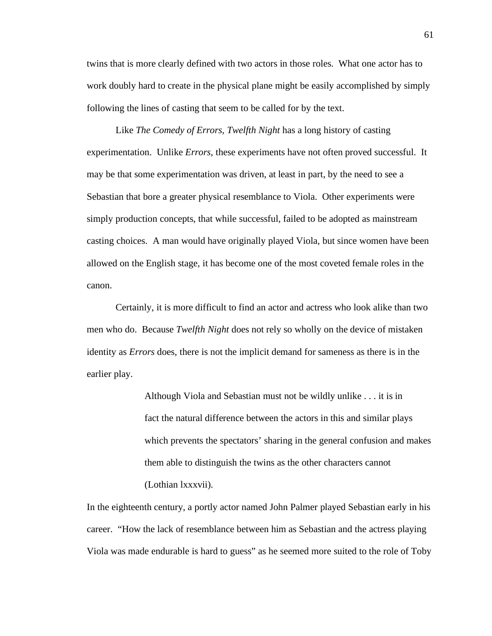twins that is more clearly defined with two actors in those roles. What one actor has to work doubly hard to create in the physical plane might be easily accomplished by simply following the lines of casting that seem to be called for by the text.

Like *The Comedy of Errors, Twelfth Night* has a long history of casting experimentation. Unlike *Errors*, these experiments have not often proved successful. It may be that some experimentation was driven, at least in part, by the need to see a Sebastian that bore a greater physical resemblance to Viola. Other experiments were simply production concepts, that while successful, failed to be adopted as mainstream casting choices. A man would have originally played Viola, but since women have been allowed on the English stage, it has become one of the most coveted female roles in the canon.

Certainly, it is more difficult to find an actor and actress who look alike than two men who do. Because *Twelfth Night* does not rely so wholly on the device of mistaken identity as *Errors* does, there is not the implicit demand for sameness as there is in the earlier play.

> Although Viola and Sebastian must not be wildly unlike . . . it is in fact the natural difference between the actors in this and similar plays which prevents the spectators' sharing in the general confusion and makes them able to distinguish the twins as the other characters cannot (Lothian lxxxvii).

In the eighteenth century, a portly actor named John Palmer played Sebastian early in his career. "How the lack of resemblance between him as Sebastian and the actress playing Viola was made endurable is hard to guess" as he seemed more suited to the role of Toby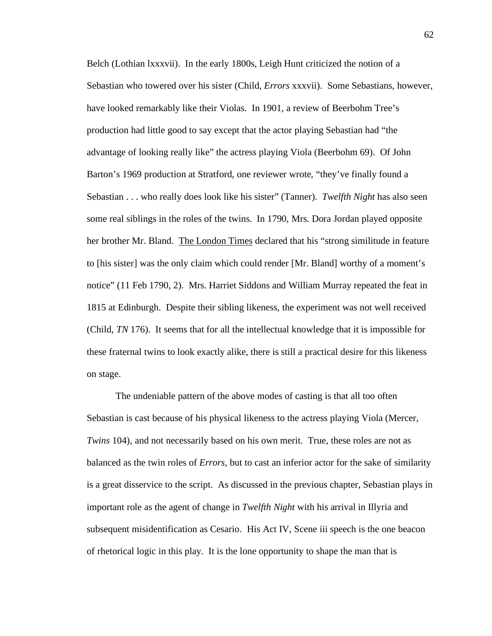Belch (Lothian lxxxvii). In the early 1800s, Leigh Hunt criticized the notion of a Sebastian who towered over his sister (Child, *Errors* xxxvii). Some Sebastians, however, have looked remarkably like their Violas. In 1901, a review of Beerbohm Tree's production had little good to say except that the actor playing Sebastian had "the advantage of looking really like" the actress playing Viola (Beerbohm 69). Of John Barton's 1969 production at Stratford, one reviewer wrote, "they've finally found a Sebastian . . . who really does look like his sister" (Tanner). *Twelfth Night* has also seen some real siblings in the roles of the twins. In 1790, Mrs. Dora Jordan played opposite her brother Mr. Bland. The London Times declared that his "strong similitude in feature to [his sister] was the only claim which could render [Mr. Bland] worthy of a moment's notice" (11 Feb 1790, 2). Mrs. Harriet Siddons and William Murray repeated the feat in 1815 at Edinburgh. Despite their sibling likeness, the experiment was not well received (Child, *TN* 176). It seems that for all the intellectual knowledge that it is impossible for these fraternal twins to look exactly alike, there is still a practical desire for this likeness on stage.

The undeniable pattern of the above modes of casting is that all too often Sebastian is cast because of his physical likeness to the actress playing Viola (Mercer, *Twins* 104), and not necessarily based on his own merit. True, these roles are not as balanced as the twin roles of *Errors*, but to cast an inferior actor for the sake of similarity is a great disservice to the script. As discussed in the previous chapter, Sebastian plays in important role as the agent of change in *Twelfth Night* with his arrival in Illyria and subsequent misidentification as Cesario. His Act IV, Scene iii speech is the one beacon of rhetorical logic in this play. It is the lone opportunity to shape the man that is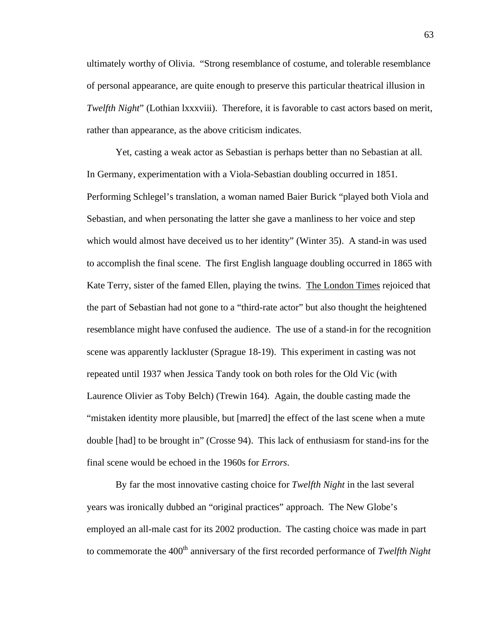ultimately worthy of Olivia. "Strong resemblance of costume, and tolerable resemblance of personal appearance, are quite enough to preserve this particular theatrical illusion in *Twelfth Night*" (Lothian lxxxviii). Therefore, it is favorable to cast actors based on merit, rather than appearance, as the above criticism indicates.

Yet, casting a weak actor as Sebastian is perhaps better than no Sebastian at all. In Germany, experimentation with a Viola-Sebastian doubling occurred in 1851. Performing Schlegel's translation, a woman named Baier Burick "played both Viola and Sebastian, and when personating the latter she gave a manliness to her voice and step which would almost have deceived us to her identity" (Winter 35). A stand-in was used to accomplish the final scene. The first English language doubling occurred in 1865 with Kate Terry, sister of the famed Ellen, playing the twins. The London Times rejoiced that the part of Sebastian had not gone to a "third-rate actor" but also thought the heightened resemblance might have confused the audience. The use of a stand-in for the recognition scene was apparently lackluster (Sprague 18-19). This experiment in casting was not repeated until 1937 when Jessica Tandy took on both roles for the Old Vic (with Laurence Olivier as Toby Belch) (Trewin 164). Again, the double casting made the "mistaken identity more plausible, but [marred] the effect of the last scene when a mute double [had] to be brought in" (Crosse 94). This lack of enthusiasm for stand-ins for the final scene would be echoed in the 1960s for *Errors*.

By far the most innovative casting choice for *Twelfth Night* in the last several years was ironically dubbed an "original practices" approach. The New Globe's employed an all-male cast for its 2002 production. The casting choice was made in part to commemorate the 400<sup>th</sup> anniversary of the first recorded performance of *Twelfth Night*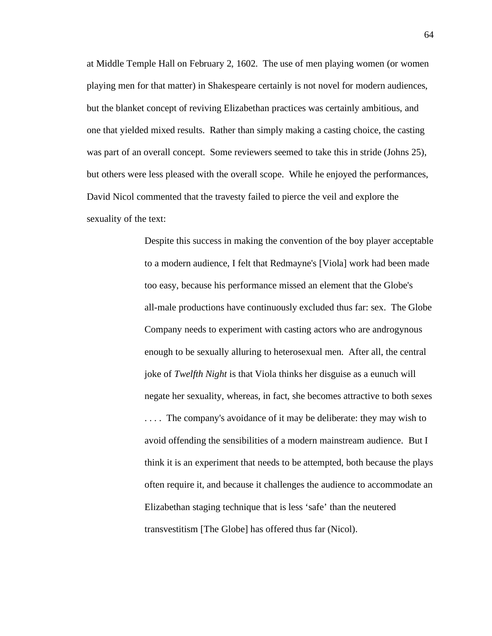at Middle Temple Hall on February 2, 1602. The use of men playing women (or women playing men for that matter) in Shakespeare certainly is not novel for modern audiences, but the blanket concept of reviving Elizabethan practices was certainly ambitious, and one that yielded mixed results. Rather than simply making a casting choice, the casting was part of an overall concept. Some reviewers seemed to take this in stride (Johns 25), but others were less pleased with the overall scope. While he enjoyed the performances, David Nicol commented that the travesty failed to pierce the veil and explore the sexuality of the text:

> Despite this success in making the convention of the boy player acceptable to a modern audience, I felt that Redmayne's [Viola] work had been made too easy, because his performance missed an element that the Globe's all-male productions have continuously excluded thus far: sex. The Globe Company needs to experiment with casting actors who are androgynous enough to be sexually alluring to heterosexual men. After all, the central joke of *Twelfth Night* is that Viola thinks her disguise as a eunuch will negate her sexuality, whereas, in fact, she becomes attractive to both sexes . . . . The company's avoidance of it may be deliberate: they may wish to avoid offending the sensibilities of a modern mainstream audience. But I think it is an experiment that needs to be attempted, both because the plays often require it, and because it challenges the audience to accommodate an Elizabethan staging technique that is less 'safe' than the neutered transvestitism [The Globe] has offered thus far (Nicol).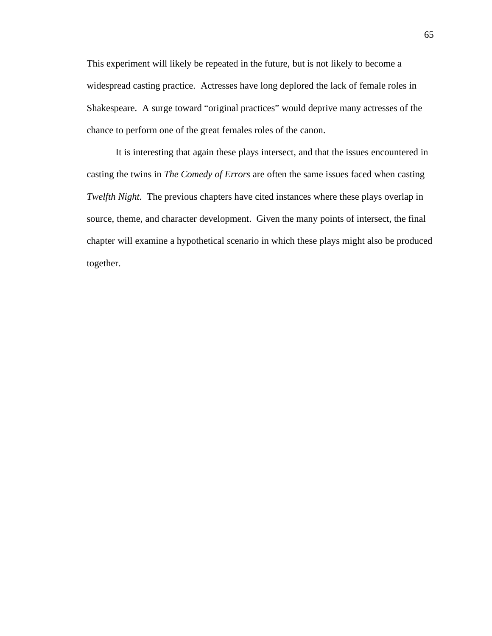This experiment will likely be repeated in the future, but is not likely to become a widespread casting practice. Actresses have long deplored the lack of female roles in Shakespeare. A surge toward "original practices" would deprive many actresses of the chance to perform one of the great females roles of the canon.

It is interesting that again these plays intersect, and that the issues encountered in casting the twins in *The Comedy of Errors* are often the same issues faced when casting *Twelfth Night.* The previous chapters have cited instances where these plays overlap in source, theme, and character development. Given the many points of intersect, the final chapter will examine a hypothetical scenario in which these plays might also be produced together.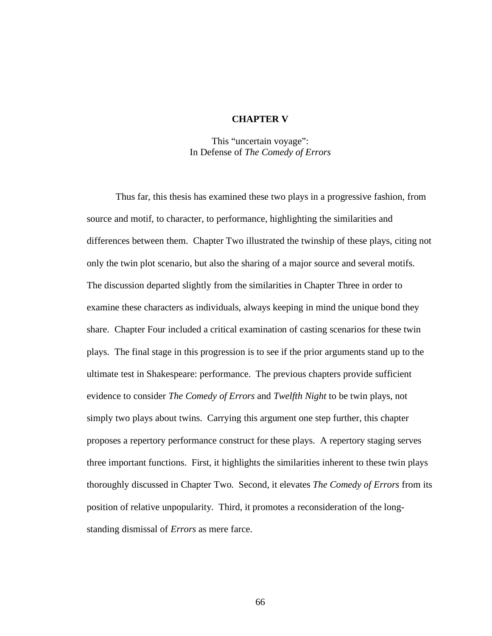## **CHAPTER V**

This "uncertain voyage": In Defense of *The Comedy of Errors*

Thus far, this thesis has examined these two plays in a progressive fashion, from source and motif, to character, to performance, highlighting the similarities and differences between them. Chapter Two illustrated the twinship of these plays, citing not only the twin plot scenario, but also the sharing of a major source and several motifs. The discussion departed slightly from the similarities in Chapter Three in order to examine these characters as individuals, always keeping in mind the unique bond they share. Chapter Four included a critical examination of casting scenarios for these twin plays. The final stage in this progression is to see if the prior arguments stand up to the ultimate test in Shakespeare: performance. The previous chapters provide sufficient evidence to consider *The Comedy of Errors* and *Twelfth Night* to be twin plays, not simply two plays about twins. Carrying this argument one step further, this chapter proposes a repertory performance construct for these plays. A repertory staging serves three important functions. First, it highlights the similarities inherent to these twin plays thoroughly discussed in Chapter Two. Second, it elevates *The Comedy of Errors* from its position of relative unpopularity. Third, it promotes a reconsideration of the longstanding dismissal of *Errors* as mere farce.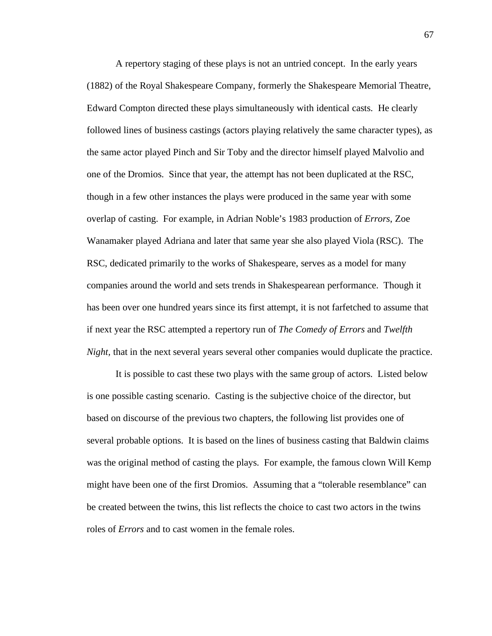A repertory staging of these plays is not an untried concept. In the early years (1882) of the Royal Shakespeare Company, formerly the Shakespeare Memorial Theatre, Edward Compton directed these plays simultaneously with identical casts. He clearly followed lines of business castings (actors playing relatively the same character types), as the same actor played Pinch and Sir Toby and the director himself played Malvolio and one of the Dromios. Since that year, the attempt has not been duplicated at the RSC, though in a few other instances the plays were produced in the same year with some overlap of casting. For example, in Adrian Noble's 1983 production of *Errors*, Zoe Wanamaker played Adriana and later that same year she also played Viola (RSC). The RSC, dedicated primarily to the works of Shakespeare, serves as a model for many companies around the world and sets trends in Shakespearean performance. Though it has been over one hundred years since its first attempt, it is not farfetched to assume that if next year the RSC attempted a repertory run of *The Comedy of Errors* and *Twelfth Night*, that in the next several years several other companies would duplicate the practice.

It is possible to cast these two plays with the same group of actors. Listed below is one possible casting scenario. Casting is the subjective choice of the director, but based on discourse of the previous two chapters, the following list provides one of several probable options. It is based on the lines of business casting that Baldwin claims was the original method of casting the plays. For example, the famous clown Will Kemp might have been one of the first Dromios. Assuming that a "tolerable resemblance" can be created between the twins, this list reflects the choice to cast two actors in the twins roles of *Errors* and to cast women in the female roles.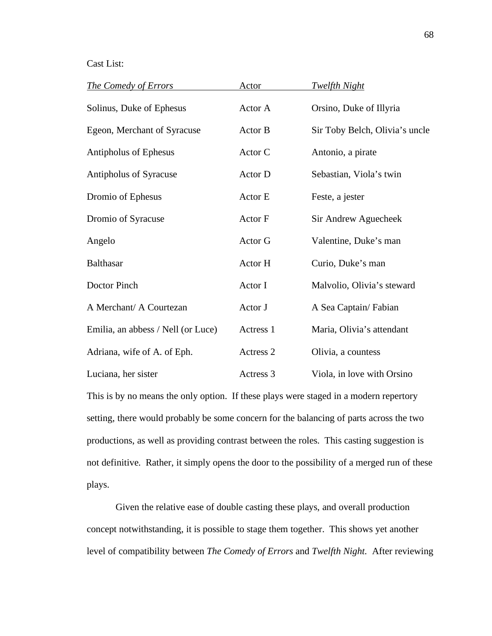## Cast List:

| <b>The Comedy of Errors</b>        | <b>Actor</b> | <u>Twelfth Night</u>           |
|------------------------------------|--------------|--------------------------------|
| Solinus, Duke of Ephesus           | Actor A      | Orsino, Duke of Illyria        |
| Egeon, Merchant of Syracuse        | Actor B      | Sir Toby Belch, Olivia's uncle |
| Antipholus of Ephesus              | Actor C      | Antonio, a pirate              |
| Antipholus of Syracuse             | Actor D      | Sebastian, Viola's twin        |
| Dromio of Ephesus                  | Actor E      | Feste, a jester                |
| Dromio of Syracuse                 | Actor F      | Sir Andrew Aguecheek           |
| Angelo                             | Actor G      | Valentine, Duke's man          |
| <b>Balthasar</b>                   | Actor H      | Curio, Duke's man              |
| Doctor Pinch                       | Actor I      | Malvolio, Olivia's steward     |
| A Merchant/ A Courtezan            | Actor J      | A Sea Captain/Fabian           |
| Emilia, an abbess / Nell (or Luce) | Actress 1    | Maria, Olivia's attendant      |
| Adriana, wife of A. of Eph.        | Actress 2    | Olivia, a countess             |
| Luciana, her sister                | Actress 3    | Viola, in love with Orsino     |

This is by no means the only option. If these plays were staged in a modern repertory setting, there would probably be some concern for the balancing of parts across the two productions, as well as providing contrast between the roles. This casting suggestion is not definitive. Rather, it simply opens the door to the possibility of a merged run of these plays.

Given the relative ease of double casting these plays, and overall production concept notwithstanding, it is possible to stage them together. This shows yet another level of compatibility between *The Comedy of Errors* and *Twelfth Night.* After reviewing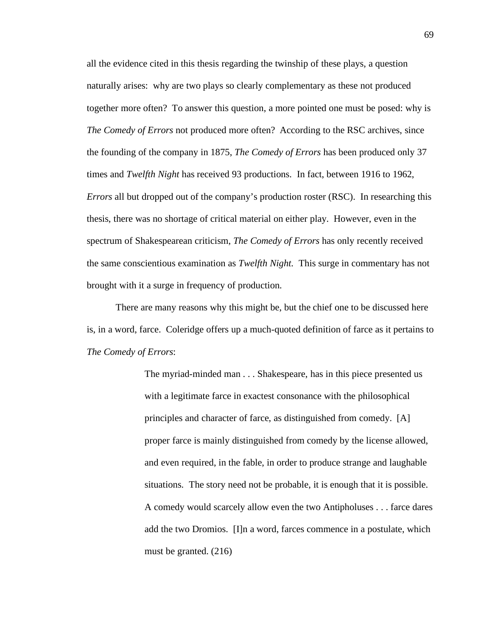all the evidence cited in this thesis regarding the twinship of these plays, a question naturally arises: why are two plays so clearly complementary as these not produced together more often? To answer this question, a more pointed one must be posed: why is *The Comedy of Errors* not produced more often? According to the RSC archives, since the founding of the company in 1875, *The Comedy of Errors* has been produced only 37 times and *Twelfth Night* has received 93 productions. In fact, between 1916 to 1962, *Errors* all but dropped out of the company's production roster (RSC). In researching this thesis, there was no shortage of critical material on either play. However, even in the spectrum of Shakespearean criticism, *The Comedy of Errors* has only recently received the same conscientious examination as *Twelfth Night.* This surge in commentary has not brought with it a surge in frequency of production.

There are many reasons why this might be, but the chief one to be discussed here is, in a word, farce. Coleridge offers up a much-quoted definition of farce as it pertains to *The Comedy of Errors*:

> The myriad-minded man . . . Shakespeare, has in this piece presented us with a legitimate farce in exactest consonance with the philosophical principles and character of farce, as distinguished from comedy. [A] proper farce is mainly distinguished from comedy by the license allowed, and even required, in the fable, in order to produce strange and laughable situations. The story need not be probable, it is enough that it is possible. A comedy would scarcely allow even the two Antipholuses . . . farce dares add the two Dromios. [I]n a word, farces commence in a postulate, which must be granted. (216)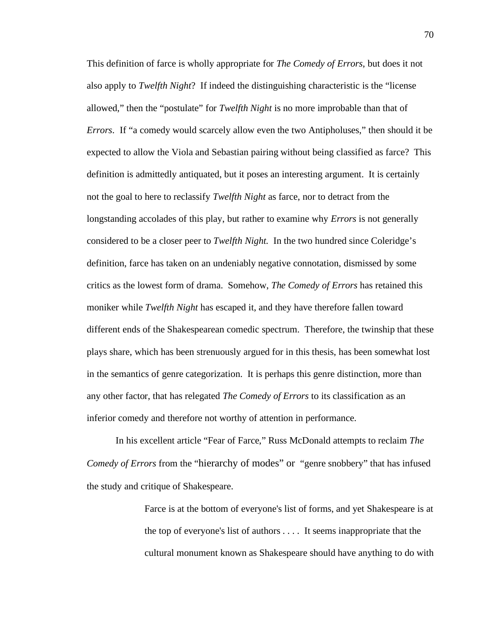This definition of farce is wholly appropriate for *The Comedy of Errors*, but does it not also apply to *Twelfth Night*? If indeed the distinguishing characteristic is the "license allowed," then the "postulate" for *Twelfth Night* is no more improbable than that of *Errors*. If "a comedy would scarcely allow even the two Antipholuses," then should it be expected to allow the Viola and Sebastian pairing without being classified as farce? This definition is admittedly antiquated, but it poses an interesting argument. It is certainly not the goal to here to reclassify *Twelfth Night* as farce, nor to detract from the longstanding accolades of this play, but rather to examine why *Errors* is not generally considered to be a closer peer to *Twelfth Night.* In the two hundred since Coleridge's definition, farce has taken on an undeniably negative connotation, dismissed by some critics as the lowest form of drama. Somehow, *The Comedy of Errors* has retained this moniker while *Twelfth Night* has escaped it, and they have therefore fallen toward different ends of the Shakespearean comedic spectrum. Therefore, the twinship that these plays share, which has been strenuously argued for in this thesis, has been somewhat lost in the semantics of genre categorization. It is perhaps this genre distinction, more than any other factor, that has relegated *The Comedy of Errors* to its classification as an inferior comedy and therefore not worthy of attention in performance.

In his excellent article "Fear of Farce," Russ McDonald attempts to reclaim *The Comedy of Errors* from the "hierarchy of modes" or "genre snobbery" that has infused the study and critique of Shakespeare.

> Farce is at the bottom of everyone's list of forms, and yet Shakespeare is at the top of everyone's list of authors . . . . It seems inappropriate that the cultural monument known as Shakespeare should have anything to do with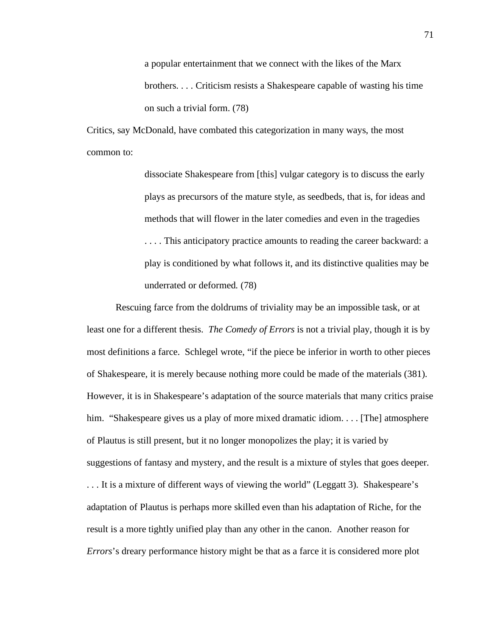a popular entertainment that we connect with the likes of the Marx brothers. . . . Criticism resists a Shakespeare capable of wasting his time on such a trivial form. (78)

Critics, say McDonald, have combated this categorization in many ways, the most common to:

> dissociate Shakespeare from [this] vulgar category is to discuss the early plays as precursors of the mature style, as seedbeds, that is, for ideas and methods that will flower in the later comedies and even in the tragedies . . . . This anticipatory practice amounts to reading the career backward: a play is conditioned by what follows it, and its distinctive qualities may be underrated or deformed. (78)

Rescuing farce from the doldrums of triviality may be an impossible task, or at least one for a different thesis. *The Comedy of Errors* is not a trivial play, though it is by most definitions a farce. Schlegel wrote, "if the piece be inferior in worth to other pieces of Shakespeare, it is merely because nothing more could be made of the materials (381). However, it is in Shakespeare's adaptation of the source materials that many critics praise him. "Shakespeare gives us a play of more mixed dramatic idiom.... [The] atmosphere of Plautus is still present, but it no longer monopolizes the play; it is varied by suggestions of fantasy and mystery, and the result is a mixture of styles that goes deeper. . . . It is a mixture of different ways of viewing the world" (Leggatt 3). Shakespeare's adaptation of Plautus is perhaps more skilled even than his adaptation of Riche, for the result is a more tightly unified play than any other in the canon. Another reason for *Errors*'s dreary performance history might be that as a farce it is considered more plot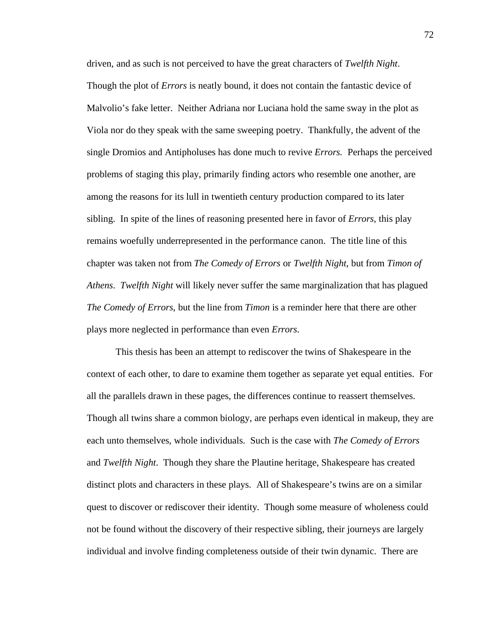driven, and as such is not perceived to have the great characters of *Twelfth Night*. Though the plot of *Errors* is neatly bound, it does not contain the fantastic device of Malvolio's fake letter. Neither Adriana nor Luciana hold the same sway in the plot as Viola nor do they speak with the same sweeping poetry. Thankfully, the advent of the single Dromios and Antipholuses has done much to revive *Errors.* Perhaps the perceived problems of staging this play, primarily finding actors who resemble one another, are among the reasons for its lull in twentieth century production compared to its later sibling. In spite of the lines of reasoning presented here in favor of *Errors*, this play remains woefully underrepresented in the performance canon. The title line of this chapter was taken not from *The Comedy of Errors* or *Twelfth Night*, but from *Timon of Athens*. *Twelfth Night* will likely never suffer the same marginalization that has plagued *The Comedy of Errors*, but the line from *Timon* is a reminder here that there are other plays more neglected in performance than even *Errors*.

This thesis has been an attempt to rediscover the twins of Shakespeare in the context of each other, to dare to examine them together as separate yet equal entities. For all the parallels drawn in these pages, the differences continue to reassert themselves. Though all twins share a common biology, are perhaps even identical in makeup, they are each unto themselves, whole individuals. Such is the case with *The Comedy of Errors* and *Twelfth Night*. Though they share the Plautine heritage, Shakespeare has created distinct plots and characters in these plays. All of Shakespeare's twins are on a similar quest to discover or rediscover their identity. Though some measure of wholeness could not be found without the discovery of their respective sibling, their journeys are largely individual and involve finding completeness outside of their twin dynamic. There are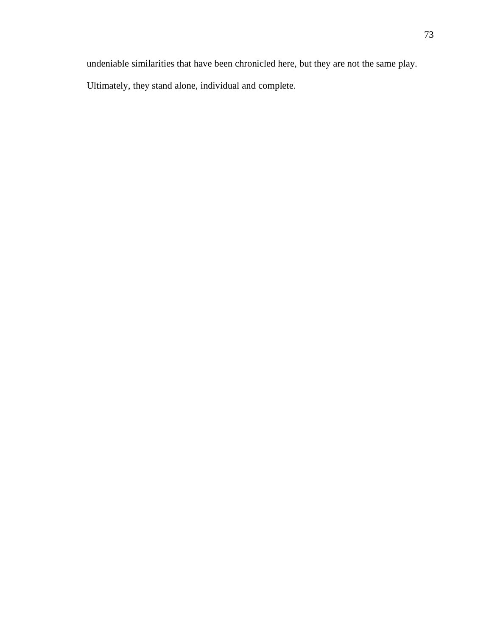undeniable similarities that have been chronicled here, but they are not the same play.

Ultimately, they stand alone, individual and complete.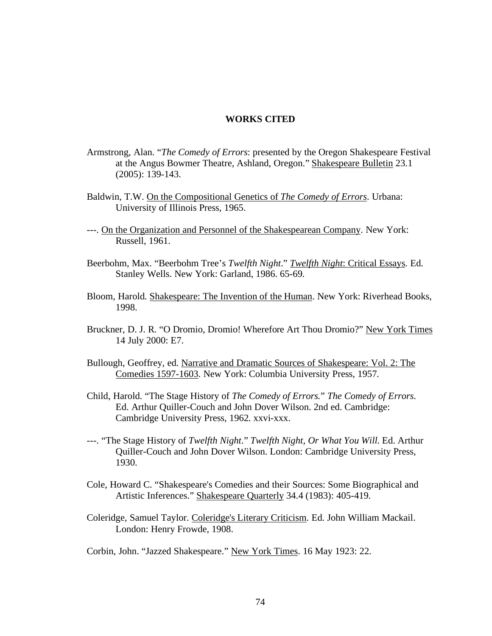## **WORKS CITED**

- Armstrong, Alan. "*The Comedy of Errors*: presented by the Oregon Shakespeare Festival at the Angus Bowmer Theatre, Ashland, Oregon." Shakespeare Bulletin 23.1 (2005): 139-143.
- Baldwin, T.W. On the Compositional Genetics of *The Comedy of Errors*. Urbana: University of Illinois Press, 1965.
- ---. On the Organization and Personnel of the Shakespearean Company. New York: Russell, 1961.
- Beerbohm, Max. "Beerbohm Tree's *Twelfth Night*." *Twelfth Night*: Critical Essays. Ed. Stanley Wells. New York: Garland, 1986. 65-69.
- Bloom, Harold. Shakespeare: The Invention of the Human. New York: Riverhead Books, 1998.
- Bruckner, D. J. R. "O Dromio, Dromio! Wherefore Art Thou Dromio?" New York Times 14 July 2000: E7.
- Bullough, Geoffrey, ed. Narrative and Dramatic Sources of Shakespeare: Vol. 2: The Comedies 1597-1603. New York: Columbia University Press, 1957.
- Child, Harold. "The Stage History of *The Comedy of Errors.*" *The Comedy of Errors*. Ed. Arthur Quiller-Couch and John Dover Wilson. 2nd ed. Cambridge: Cambridge University Press, 1962. xxvi-xxx.
- ---. "The Stage History of *Twelfth Night*." *Twelfth Night, Or What You Will*. Ed. Arthur Quiller-Couch and John Dover Wilson. London: Cambridge University Press, 1930.
- Cole, Howard C. "Shakespeare's Comedies and their Sources: Some Biographical and Artistic Inferences." Shakespeare Quarterly 34.4 (1983): 405-419.
- Coleridge, Samuel Taylor. Coleridge's Literary Criticism. Ed. John William Mackail. London: Henry Frowde, 1908.

Corbin, John. "Jazzed Shakespeare." New York Times. 16 May 1923: 22.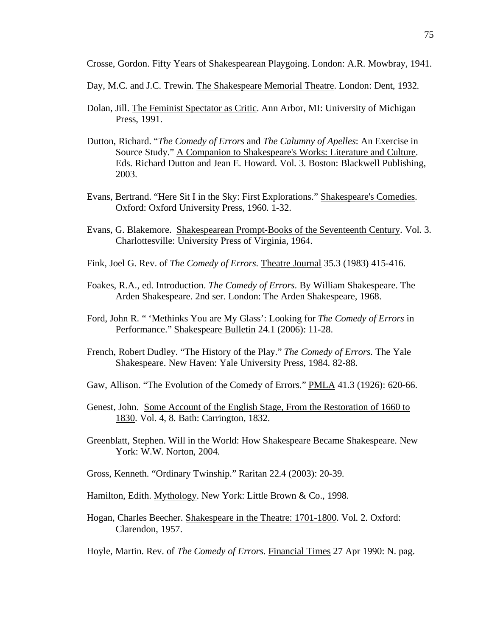Crosse, Gordon. Fifty Years of Shakespearean Playgoing. London: A.R. Mowbray, 1941.

Day, M.C. and J.C. Trewin. The Shakespeare Memorial Theatre. London: Dent, 1932.

- Dolan, Jill. The Feminist Spectator as Critic. Ann Arbor, MI: University of Michigan Press, 1991.
- Dutton, Richard. "*The Comedy of Errors* and *The Calumny of Apelles*: An Exercise in Source Study." A Companion to Shakespeare's Works: Literature and Culture. Eds. Richard Dutton and Jean E. Howard. Vol. 3. Boston: Blackwell Publishing, 2003.
- Evans, Bertrand. "Here Sit I in the Sky: First Explorations." Shakespeare's Comedies. Oxford: Oxford University Press, 1960. 1-32.
- Evans, G. Blakemore. Shakespearean Prompt-Books of the Seventeenth Century. Vol. 3. Charlottesville: University Press of Virginia, 1964.
- Fink, Joel G. Rev. of *The Comedy of Errors*. Theatre Journal 35.3 (1983) 415-416.
- Foakes, R.A., ed. Introduction. *The Comedy of Errors*. By William Shakespeare. The Arden Shakespeare. 2nd ser. London: The Arden Shakespeare, 1968.
- Ford, John R. " 'Methinks You are My Glass': Looking for *The Comedy of Errors* in Performance." Shakespeare Bulletin 24.1 (2006): 11-28.
- French, Robert Dudley. "The History of the Play." *The Comedy of Errors*. The Yale Shakespeare. New Haven: Yale University Press, 1984. 82-88.
- Gaw, Allison. "The Evolution of the Comedy of Errors." PMLA 41.3 (1926): 620-66.
- Genest, John. Some Account of the English Stage, From the Restoration of 1660 to 1830. Vol. 4, 8. Bath: Carrington, 1832.
- Greenblatt, Stephen. Will in the World: How Shakespeare Became Shakespeare. New York: W.W. Norton, 2004.
- Gross, Kenneth. "Ordinary Twinship." Raritan 22.4 (2003): 20-39.
- Hamilton, Edith. Mythology. New York: Little Brown & Co., 1998.
- Hogan, Charles Beecher. Shakespeare in the Theatre: 1701-1800. Vol. 2. Oxford: Clarendon, 1957.
- Hoyle, Martin. Rev. of *The Comedy of Errors*. Financial Times 27 Apr 1990: N. pag.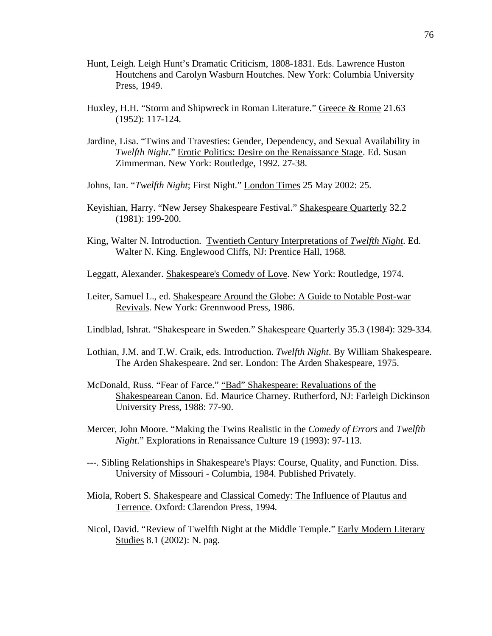- Hunt, Leigh. Leigh Hunt's Dramatic Criticism, 1808-1831. Eds. Lawrence Huston Houtchens and Carolyn Wasburn Houtches. New York: Columbia University Press, 1949.
- Huxley, H.H. "Storm and Shipwreck in Roman Literature." Greece & Rome 21.63 (1952): 117-124.
- Jardine, Lisa. "Twins and Travesties: Gender, Dependency, and Sexual Availability in *Twelfth Night*." Erotic Politics: Desire on the Renaissance Stage. Ed. Susan Zimmerman. New York: Routledge, 1992. 27-38.
- Johns, Ian. "*Twelfth Night*; First Night." London Times 25 May 2002: 25.
- Keyishian, Harry. "New Jersey Shakespeare Festival." Shakespeare Quarterly 32.2 (1981): 199-200.
- King, Walter N. Introduction. Twentieth Century Interpretations of *Twelfth Night*. Ed. Walter N. King. Englewood Cliffs, NJ: Prentice Hall, 1968.
- Leggatt, Alexander. Shakespeare's Comedy of Love. New York: Routledge, 1974.
- Leiter, Samuel L., ed. Shakespeare Around the Globe: A Guide to Notable Post-war Revivals. New York: Grennwood Press, 1986.
- Lindblad, Ishrat. "Shakespeare in Sweden." Shakespeare Quarterly 35.3 (1984): 329-334.
- Lothian, J.M. and T.W. Craik, eds. Introduction. *Twelfth Night*. By William Shakespeare. The Arden Shakespeare. 2nd ser. London: The Arden Shakespeare, 1975.
- McDonald, Russ. "Fear of Farce." "Bad" Shakespeare: Revaluations of the Shakespearean Canon. Ed. Maurice Charney. Rutherford, NJ: Farleigh Dickinson University Press, 1988: 77-90.
- Mercer, John Moore. "Making the Twins Realistic in the *Comedy of Errors* and *Twelfth Night*." Explorations in Renaissance Culture 19 (1993): 97-113.
- ---. Sibling Relationships in Shakespeare's Plays: Course, Quality, and Function. Diss. University of Missouri - Columbia, 1984. Published Privately.
- Miola, Robert S. Shakespeare and Classical Comedy: The Influence of Plautus and Terrence. Oxford: Clarendon Press, 1994.
- Nicol, David. "Review of Twelfth Night at the Middle Temple." Early Modern Literary Studies 8.1 (2002): N. pag.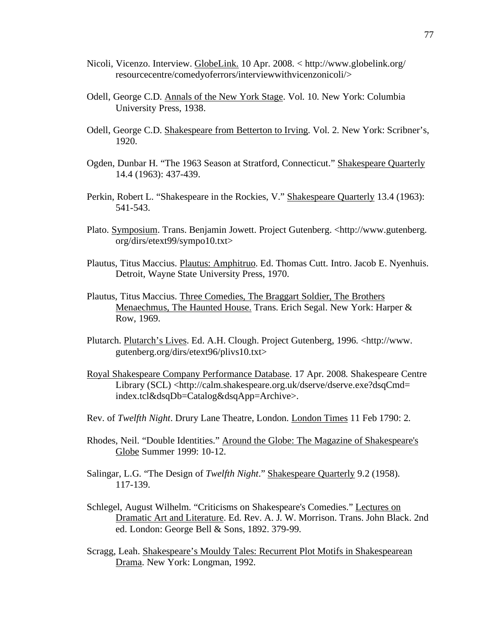- Nicoli, Vicenzo. Interview. GlobeLink. 10 Apr. 2008. < http://www.globelink.org/ resourcecentre/comedyoferrors/interviewwithvicenzonicoli/>
- Odell, George C.D. Annals of the New York Stage. Vol. 10. New York: Columbia University Press, 1938.
- Odell, George C.D. Shakespeare from Betterton to Irving. Vol. 2. New York: Scribner's, 1920.
- Ogden, Dunbar H. "The 1963 Season at Stratford, Connecticut." Shakespeare Quarterly 14.4 (1963): 437-439.
- Perkin, Robert L. "Shakespeare in the Rockies, V." Shakespeare Quarterly 13.4 (1963): 541-543.
- Plato. Symposium. Trans. Benjamin Jowett. Project Gutenberg. <http://www.gutenberg. org/dirs/etext99/sympo10.txt>
- Plautus, Titus Maccius. Plautus: Amphitruo. Ed. Thomas Cutt. Intro. Jacob E. Nyenhuis. Detroit, Wayne State University Press, 1970.
- Plautus, Titus Maccius. Three Comedies, The Braggart Soldier, The Brothers Menaechmus, The Haunted House. Trans. Erich Segal. New York: Harper & Row, 1969.
- Plutarch. Plutarch's Lives. Ed. A.H. Clough. Project Gutenberg, 1996. <http://www. gutenberg.org/dirs/etext96/plivs10.txt>
- Royal Shakespeare Company Performance Database. 17 Apr. 2008. Shakespeare Centre Library (SCL) <http://calm.shakespeare.org.uk/dserve/dserve.exe?dsqCmd= index.tcl&dsqDb=Catalog&dsqApp=Archive>.
- Rev. of *Twelfth Night*. Drury Lane Theatre, London. London Times 11 Feb 1790: 2.
- Rhodes, Neil. "Double Identities." Around the Globe: The Magazine of Shakespeare's Globe Summer 1999: 10-12.
- Salingar, L.G. "The Design of *Twelfth Night*." Shakespeare Quarterly 9.2 (1958). 117-139.
- Schlegel, August Wilhelm. "Criticisms on Shakespeare's Comedies." Lectures on Dramatic Art and Literature. Ed. Rev. A. J. W. Morrison. Trans. John Black. 2nd ed. London: George Bell & Sons, 1892. 379-99.
- Scragg, Leah. Shakespeare's Mouldy Tales: Recurrent Plot Motifs in Shakespearean Drama. New York: Longman, 1992.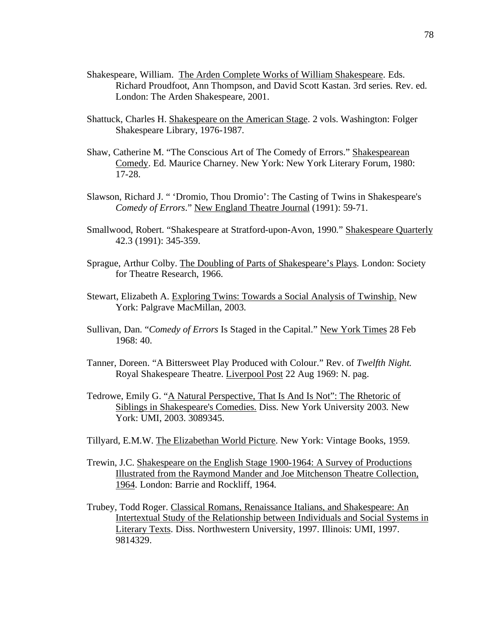- Shakespeare, William. The Arden Complete Works of William Shakespeare. Eds. Richard Proudfoot, Ann Thompson, and David Scott Kastan. 3rd series. Rev. ed. London: The Arden Shakespeare, 2001.
- Shattuck, Charles H. Shakespeare on the American Stage. 2 vols. Washington: Folger Shakespeare Library, 1976-1987.
- Shaw, Catherine M. "The Conscious Art of The Comedy of Errors." Shakespearean Comedy. Ed. Maurice Charney. New York: New York Literary Forum, 1980: 17-28.
- Slawson, Richard J. " 'Dromio, Thou Dromio': The Casting of Twins in Shakespeare's *Comedy of Errors*." New England Theatre Journal (1991): 59-71.
- Smallwood, Robert. "Shakespeare at Stratford-upon-Avon, 1990." Shakespeare Quarterly 42.3 (1991): 345-359.
- Sprague, Arthur Colby. The Doubling of Parts of Shakespeare's Plays. London: Society for Theatre Research, 1966.
- Stewart, Elizabeth A. Exploring Twins: Towards a Social Analysis of Twinship. New York: Palgrave MacMillan, 2003.
- Sullivan, Dan. "*Comedy of Errors* Is Staged in the Capital." New York Times 28 Feb 1968: 40.
- Tanner, Doreen. "A Bittersweet Play Produced with Colour." Rev. of *Twelfth Night.* Royal Shakespeare Theatre. Liverpool Post 22 Aug 1969: N. pag.
- Tedrowe, Emily G. "A Natural Perspective, That Is And Is Not": The Rhetoric of Siblings in Shakespeare's Comedies. Diss. New York University 2003. New York: UMI, 2003. 3089345.
- Tillyard, E.M.W. The Elizabethan World Picture. New York: Vintage Books, 1959.
- Trewin, J.C. Shakespeare on the English Stage 1900-1964: A Survey of Productions Illustrated from the Raymond Mander and Joe Mitchenson Theatre Collection, 1964. London: Barrie and Rockliff, 1964.
- Trubey, Todd Roger. Classical Romans, Renaissance Italians, and Shakespeare: An Intertextual Study of the Relationship between Individuals and Social Systems in Literary Texts. Diss. Northwestern University, 1997. Illinois: UMI, 1997. 9814329.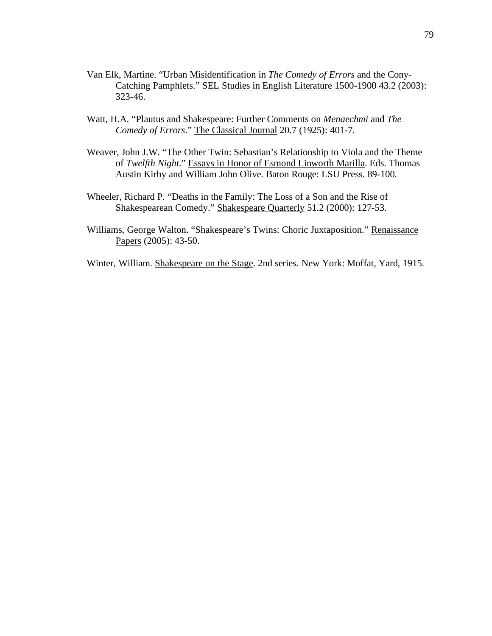- Van Elk, Martine. "Urban Misidentification in *The Comedy of Errors* and the Cony-Catching Pamphlets." SEL Studies in English Literature 1500-1900 43.2 (2003): 323-46.
- Watt, H.A. "Plautus and Shakespeare: Further Comments on *Menaechmi* and *The Comedy of Errors*." The Classical Journal 20.7 (1925): 401-7.
- Weaver, John J.W. "The Other Twin: Sebastian's Relationship to Viola and the Theme of *Twelfth Night*." Essays in Honor of Esmond Linworth Marilla. Eds. Thomas Austin Kirby and William John Olive. Baton Rouge: LSU Press. 89-100.
- Wheeler, Richard P. "Deaths in the Family: The Loss of a Son and the Rise of Shakespearean Comedy." Shakespeare Quarterly 51.2 (2000): 127-53.
- Williams, George Walton. "Shakespeare's Twins: Choric Juxtaposition." Renaissance Papers (2005): 43-50.
- Winter, William. Shakespeare on the Stage. 2nd series. New York: Moffat, Yard, 1915.